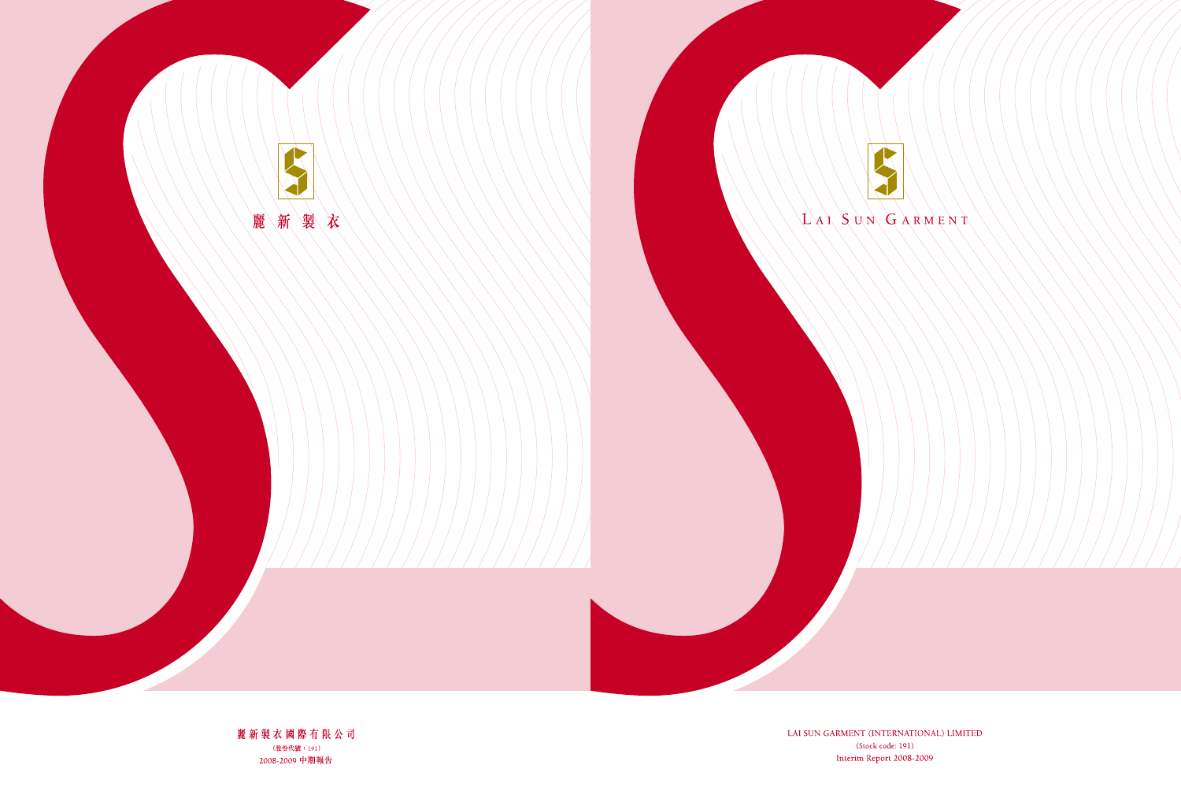

LAI SUN GARMENT (INTERNATIONAL) LIMITED (Stock code: 191) Interim Report 2008-2009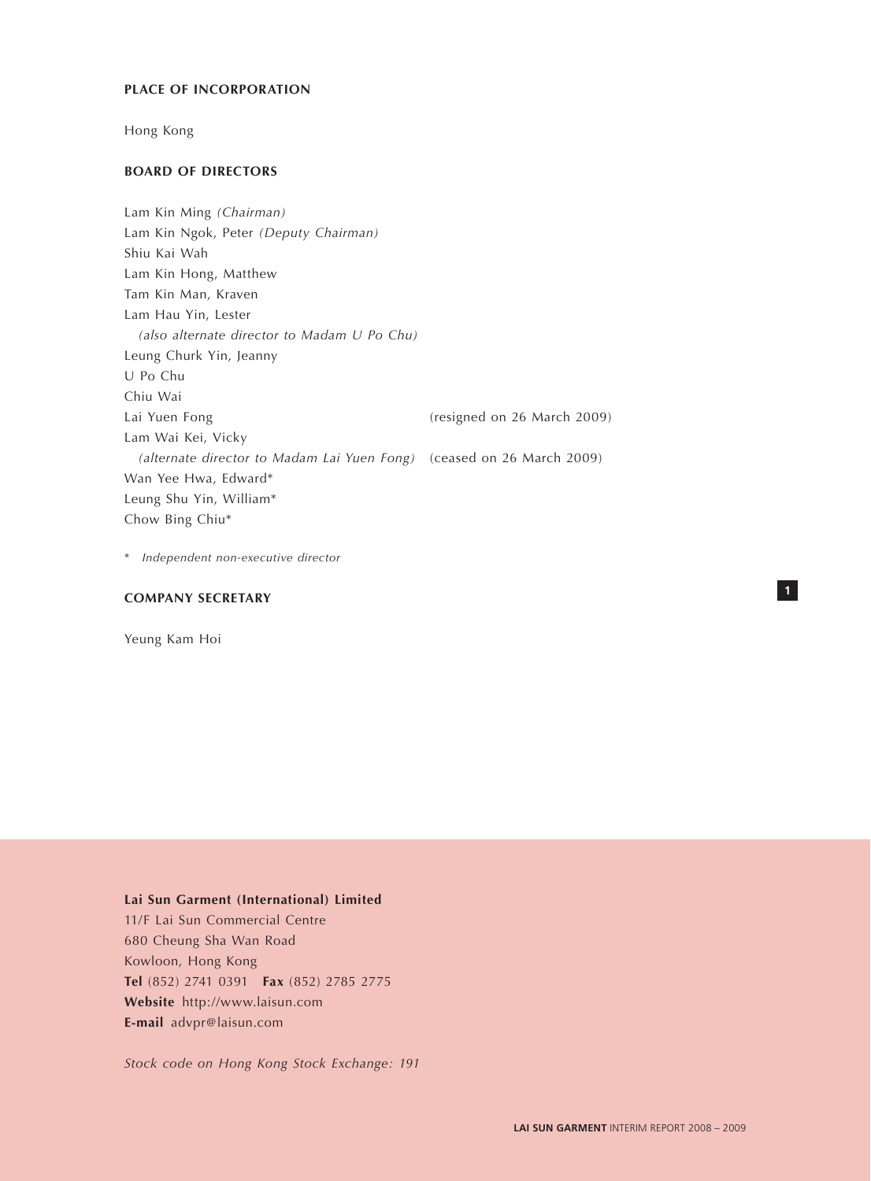### **PLACE OF INCORPORATION**

Hong Kong

### **BOARD OF DIRECTORS**

Lam Kin Ming *(Chairman)* Lam Kin Ngok, Peter *(Deputy Chairman)* Shiu Kai Wah Lam Kin Hong, Matthew Tam Kin Man, Kraven Lam Hau Yin, Lester *(also alternate director to Madam U Po Chu)* Leung Churk Yin, Jeanny U Po Chu Chiu Wai Lai Yuen Fong **Example 2009** (resigned on 26 March 2009) Lam Wai Kei, Vicky  *(alternate director to Madam Lai Yuen Fong)* (ceased on 26 March 2009) Wan Yee Hwa, Edward\* Leung Shu Yin, William\* Chow Bing Chiu\*

\* *Independent non-executive director*

## **COMPANY SECRETARY**

Yeung Kam Hoi

### **Lai Sun Garment (International) Limited**

11/F Lai Sun Commercial Centre 680 Cheung Sha Wan Road Kowloon, Hong Kong **Tel** (852) 2741 0391 **Fax** (852) 2785 2775 **Website** http://www.laisun.com **E-mail** advpr@laisun.com

*Stock code on Hong Kong Stock Exchange: 191*

**1**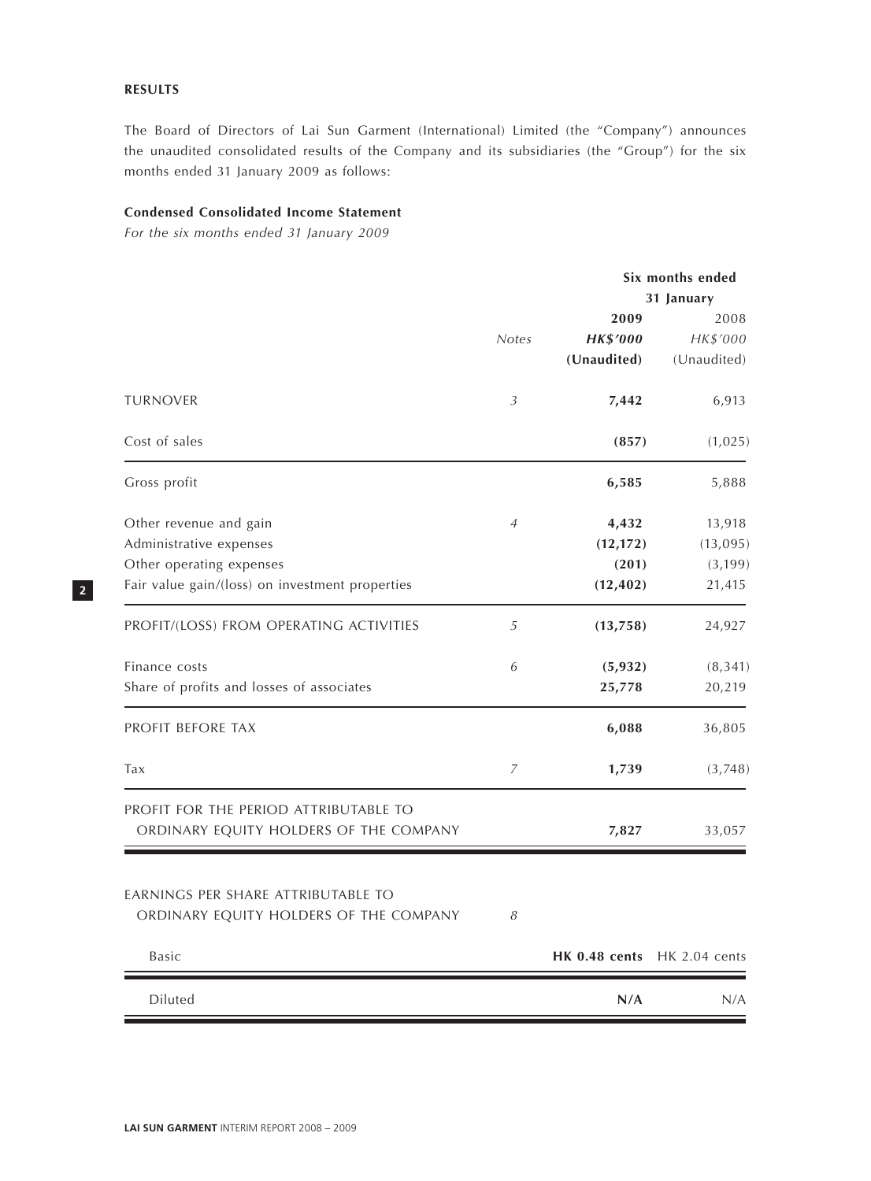## **RESULTS**

The Board of Directors of Lai Sun Garment (International) Limited (the "Company") announces the unaudited consolidated results of the Company and its subsidiaries (the "Group") for the six months ended 31 January 2009 as follows:

## **Condensed Consolidated Income Statement**

*For the six months ended 31 January 2009*

|                                                                                                                                  |                |                                          | Six months ended<br>31 January           |  |  |
|----------------------------------------------------------------------------------------------------------------------------------|----------------|------------------------------------------|------------------------------------------|--|--|
|                                                                                                                                  | <b>Notes</b>   | 2009<br><b>HK\$'000</b><br>(Unaudited)   | 2008<br>HK\$'000<br>(Unaudited)          |  |  |
| <b>TURNOVER</b>                                                                                                                  | 3              | 7,442                                    | 6,913                                    |  |  |
| Cost of sales                                                                                                                    |                | (857)                                    | (1,025)                                  |  |  |
| Gross profit                                                                                                                     |                | 6,585                                    | 5,888                                    |  |  |
| Other revenue and gain<br>Administrative expenses<br>Other operating expenses<br>Fair value gain/(loss) on investment properties | $\overline{4}$ | 4,432<br>(12, 172)<br>(201)<br>(12, 402) | 13,918<br>(13,095)<br>(3, 199)<br>21,415 |  |  |
| PROFIT/(LOSS) FROM OPERATING ACTIVITIES                                                                                          | 5              | (13, 758)                                | 24,927                                   |  |  |
| Finance costs<br>Share of profits and losses of associates                                                                       | 6              | (5, 932)<br>25,778                       | (8, 341)<br>20,219                       |  |  |
| PROFIT BEFORE TAX                                                                                                                |                | 6,088                                    | 36,805                                   |  |  |
| Tax                                                                                                                              | $\overline{7}$ | 1,739                                    | (3,748)                                  |  |  |
| PROFIT FOR THE PERIOD ATTRIBUTABLE TO<br>ORDINARY EQUITY HOLDERS OF THE COMPANY                                                  |                | 7,827                                    | 33,057                                   |  |  |
| EARNINGS PER SHARE ATTRIBUTABLE TO<br>ORDINARY EQUITY HOLDERS OF THE COMPANY                                                     | 8              |                                          |                                          |  |  |
| <b>Basic</b>                                                                                                                     |                | HK 0.48 cents                            | HK 2.04 cents                            |  |  |
| Diluted                                                                                                                          |                | N/A                                      | N/A                                      |  |  |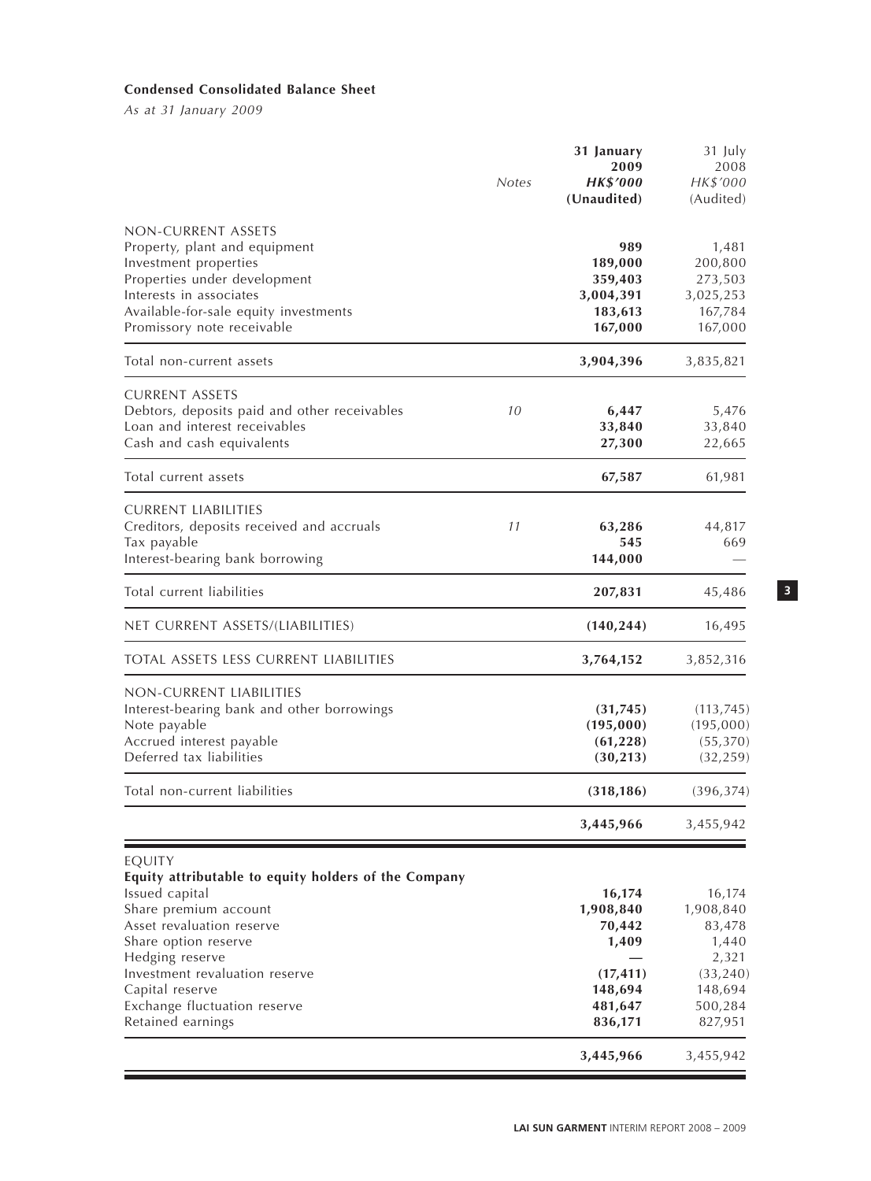## **Condensed Consolidated Balance Sheet**

*As at 31 January 2009*

|                                                                  |              | 31 January<br>2009   | 31 July<br>2008      |
|------------------------------------------------------------------|--------------|----------------------|----------------------|
|                                                                  | <b>Notes</b> | <b>HK\$'000</b>      | HK\$'000             |
|                                                                  |              | (Unaudited)          | (Audited)            |
| NON-CURRENT ASSETS                                               |              |                      |                      |
| Property, plant and equipment                                    |              | 989                  | 1,481                |
| Investment properties                                            |              | 189,000              | 200,800              |
| Properties under development                                     |              | 359,403              | 273,503              |
| Interests in associates<br>Available-for-sale equity investments |              | 3,004,391<br>183,613 | 3,025,253<br>167,784 |
| Promissory note receivable                                       |              | 167,000              | 167,000              |
| Total non-current assets                                         |              | 3,904,396            | 3,835,821            |
| <b>CURRENT ASSETS</b>                                            |              |                      |                      |
| Debtors, deposits paid and other receivables                     | 10           | 6,447                | 5,476                |
| Loan and interest receivables                                    |              | 33,840               | 33,840               |
| Cash and cash equivalents                                        |              | 27,300               | 22,665               |
| Total current assets                                             |              | 67,587               | 61,981               |
| <b>CURRENT LIABILITIES</b>                                       |              |                      |                      |
| Creditors, deposits received and accruals                        | 11           | 63,286               | 44,817               |
| Tax payable                                                      |              | 545                  | 669                  |
| Interest-bearing bank borrowing                                  |              | 144,000              |                      |
| Total current liabilities                                        |              | 207,831              | 45,486               |
| NET CURRENT ASSETS/(LIABILITIES)                                 |              | (140, 244)           | 16,495               |
| TOTAL ASSETS LESS CURRENT LIABILITIES                            |              | 3,764,152            | 3,852,316            |
| NON-CURRENT LIABILITIES                                          |              |                      |                      |
| Interest-bearing bank and other borrowings                       |              | (31, 745)            | (113, 745)           |
| Note payable                                                     |              | (195,000)            | (195,000)            |
| Accrued interest payable                                         |              | (61, 228)            | (55, 370)            |
| Deferred tax liabilities                                         |              | (30, 213)            | (32, 259)            |
| Total non-current liabilities                                    |              | (318, 186)           | (396, 374)           |
|                                                                  |              | 3,445,966            | 3,455,942            |
| EQUITY                                                           |              |                      |                      |
| Equity attributable to equity holders of the Company             |              |                      |                      |
| Issued capital                                                   |              | 16,174               | 16,174               |
| Share premium account                                            |              | 1,908,840            | 1,908,840            |
| Asset revaluation reserve                                        |              | 70,442               | 83,478               |
| Share option reserve                                             |              | 1,409                | 1,440                |
| Hedging reserve                                                  |              |                      | 2,321                |
| Investment revaluation reserve                                   |              | (17, 411)            | (33, 240)            |
| Capital reserve                                                  |              | 148,694              | 148,694              |
| Exchange fluctuation reserve                                     |              | 481,647              | 500,284              |
| Retained earnings                                                |              | 836,171              | 827,951              |
|                                                                  |              | 3,445,966            | 3,455,942            |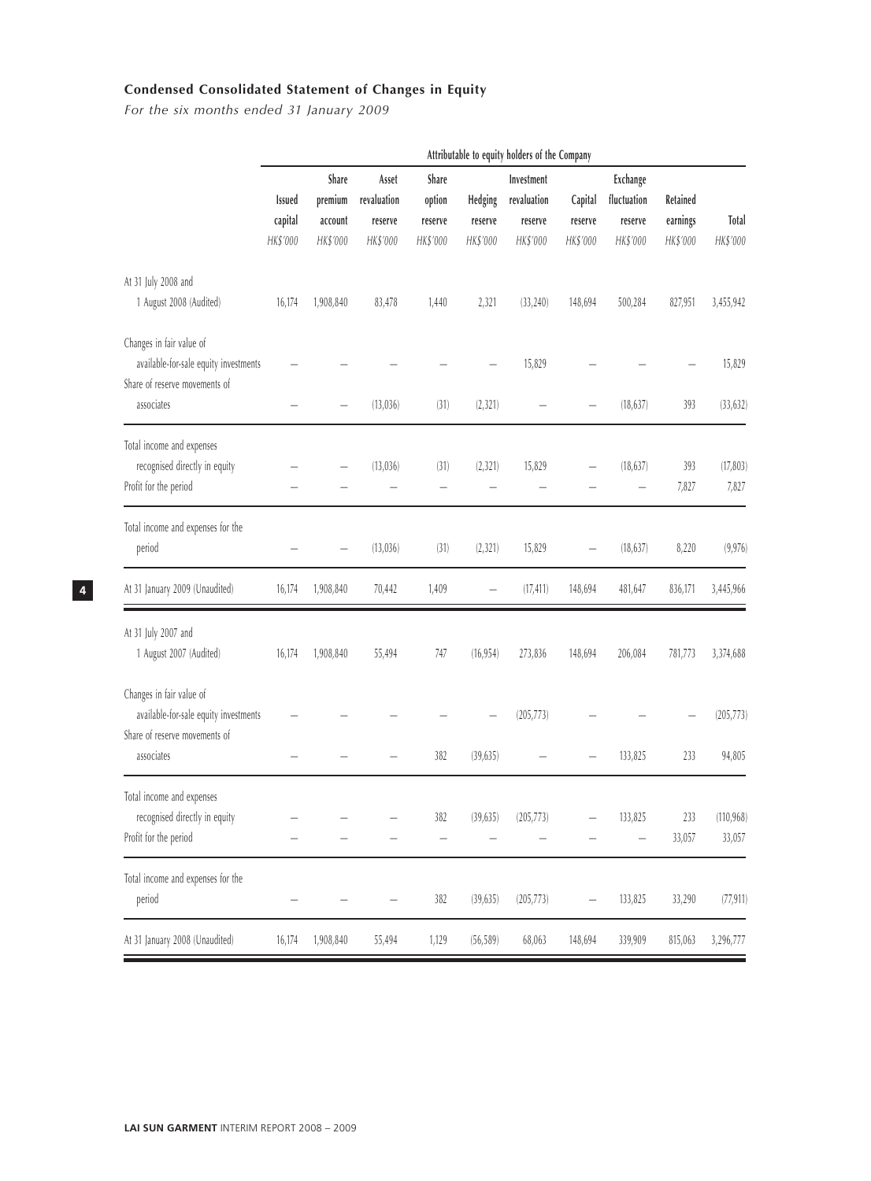# **Condensed Consolidated Statement of Changes in Equity**

*For the six months ended 31 January 2009*

|                                                                                                                  |                               | Attributable to equity holders of the Company |                                             |                                        |                                |                                                  |                                |                                                |                                  |                          |
|------------------------------------------------------------------------------------------------------------------|-------------------------------|-----------------------------------------------|---------------------------------------------|----------------------------------------|--------------------------------|--------------------------------------------------|--------------------------------|------------------------------------------------|----------------------------------|--------------------------|
|                                                                                                                  | Issued<br>capital<br>HK\$'000 | Share<br>premium<br>account<br>HK\$'000       | Asset<br>revaluation<br>reserve<br>HK\$'000 | Share<br>option<br>reserve<br>HK\$'000 | Hedging<br>reserve<br>HK\$'000 | Investment<br>revaluation<br>reserve<br>HK\$'000 | Capital<br>reserve<br>HK\$'000 | Exchange<br>fluctuation<br>reserve<br>HK\$'000 | Retained<br>earnings<br>HK\$'000 | <b>Total</b><br>HK\$'000 |
| At 31 July 2008 and<br>1 August 2008 (Audited)                                                                   | 16,174                        | 1,908,840                                     | 83,478                                      | 1,440                                  | 2,321                          | (33, 240)                                        | 148,694                        | 500,284                                        | 827,951                          | 3,455,942                |
| Changes in fair value of<br>available-for-sale equity investments<br>Share of reserve movements of<br>associates |                               |                                               | (13,036)                                    | (31)                                   | (2, 321)                       | 15,829                                           |                                | (18, 637)                                      | 393                              | 15,829<br>(33, 632)      |
| Total income and expenses<br>recognised directly in equity<br>Profit for the period                              |                               |                                               | (13,036)                                    | (31)                                   | (2, 321)                       | 15,829                                           |                                | (18, 637)                                      | 393<br>7,827                     | (17, 803)<br>7,827       |
| Total income and expenses for the<br>period                                                                      |                               |                                               | (13,036)                                    | (31)                                   | (2, 321)                       | 15,829                                           |                                | (18, 637)                                      | 8,220                            | (9, 976)                 |
| At 31 January 2009 (Unaudited)                                                                                   | 16,174                        | 1,908,840                                     | 70,442                                      | 1,409                                  |                                | (17, 411)                                        | 148,694                        | 481,647                                        | 836,171                          | 3,445,966                |
| At 31 July 2007 and<br>1 August 2007 (Audited)                                                                   | 16,174                        | 1,908,840                                     | 55,494                                      | 747                                    | (16, 954)                      | 273,836                                          | 148,694                        | 206,084                                        | 781,773                          | 3,374,688                |
| Changes in fair value of<br>available-for-sale equity investments<br>Share of reserve movements of               |                               |                                               |                                             |                                        |                                | (205, 773)                                       |                                |                                                |                                  | (205, 773)               |
| associates                                                                                                       |                               |                                               |                                             | 382                                    | (39, 635)                      |                                                  |                                | 133,825                                        | 233                              | 94,805                   |
| Total income and expenses<br>recognised directly in equity<br>Profit for the period                              |                               |                                               |                                             | 382                                    | (39, 635)                      | (205, 773)                                       |                                | 133,825                                        | 233<br>33,057                    | (110, 968)<br>33,057     |
| Total income and expenses for the<br>period                                                                      |                               |                                               |                                             | 382                                    | (39, 635)                      | (205, 773)                                       |                                | 133,825                                        | 33,290                           | (77, 911)                |
| At 31 January 2008 (Unaudited)                                                                                   | 16,174                        | 1,908,840                                     | 55,494                                      | 1,129                                  | (56, 589)                      | 68,063                                           | 148,694                        | 339,909                                        | 815,063                          | 3,296,777                |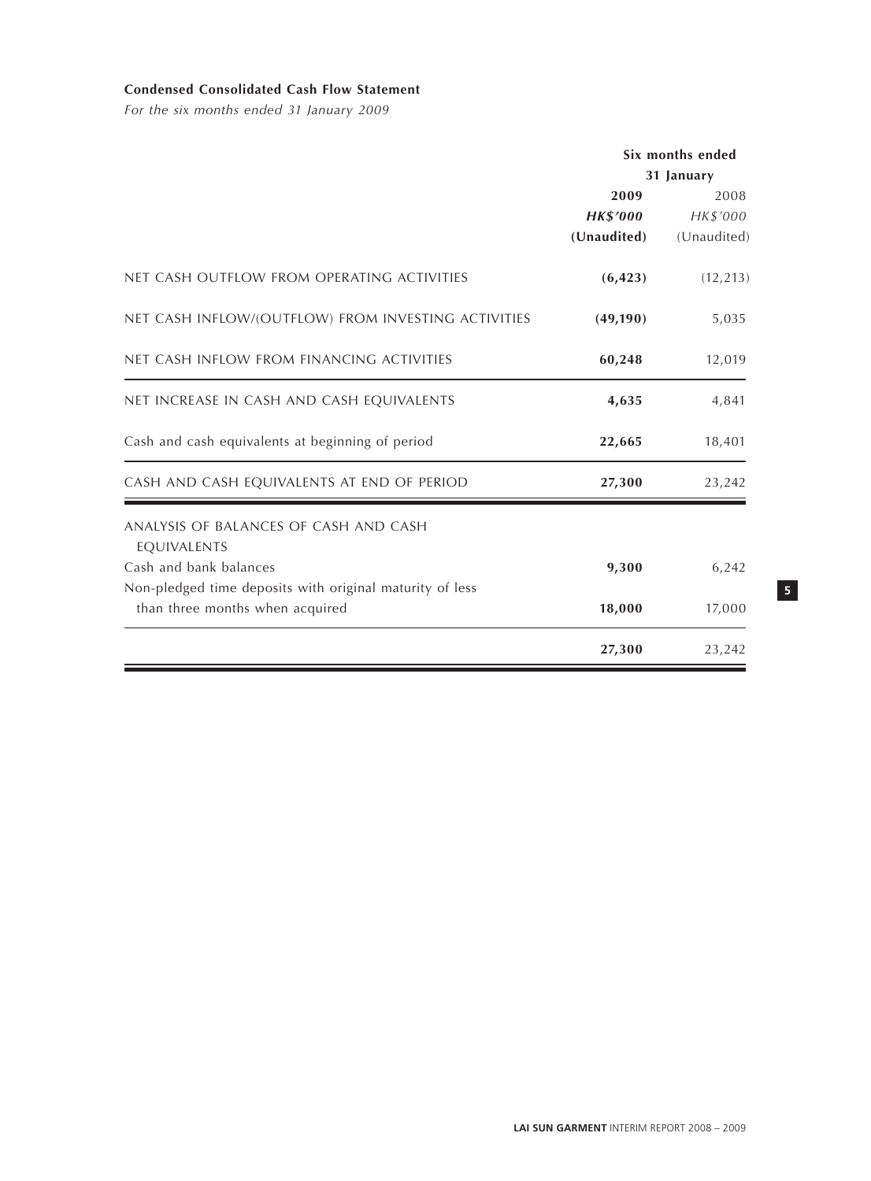## **Condensed Consolidated Cash Flow Statement**

*For the six months ended 31 January 2009*

|                                                          | Six months ended |             |
|----------------------------------------------------------|------------------|-------------|
|                                                          |                  | 31 January  |
|                                                          | 2009             | 2008        |
|                                                          | <b>HK\$'000</b>  | HK\$'000    |
|                                                          | (Unaudited)      | (Unaudited) |
| NET CASH OUTFLOW FROM OPERATING ACTIVITIES               | (6, 423)         | (12, 213)   |
| NET CASH INFLOW/(OUTFLOW) FROM INVESTING ACTIVITIES      | (49, 190)        | 5,035       |
| NET CASH INFLOW FROM FINANCING ACTIVITIES                | 60,248           | 12,019      |
| NET INCREASE IN CASH AND CASH EQUIVALENTS                | 4,635            | 4,841       |
| Cash and cash equivalents at beginning of period         | 22,665           | 18,401      |
| CASH AND CASH EQUIVALENTS AT END OF PERIOD               | 27,300           | 23,242      |
| ANALYSIS OF BALANCES OF CASH AND CASH                    |                  |             |
| EQUIVALENTS                                              |                  |             |
| Cash and bank balances                                   | 9,300            | 6,242       |
| Non-pledged time deposits with original maturity of less |                  |             |
| than three months when acquired                          | 18,000           | 17,000      |
|                                                          | 27,300           | 23,242      |

**5**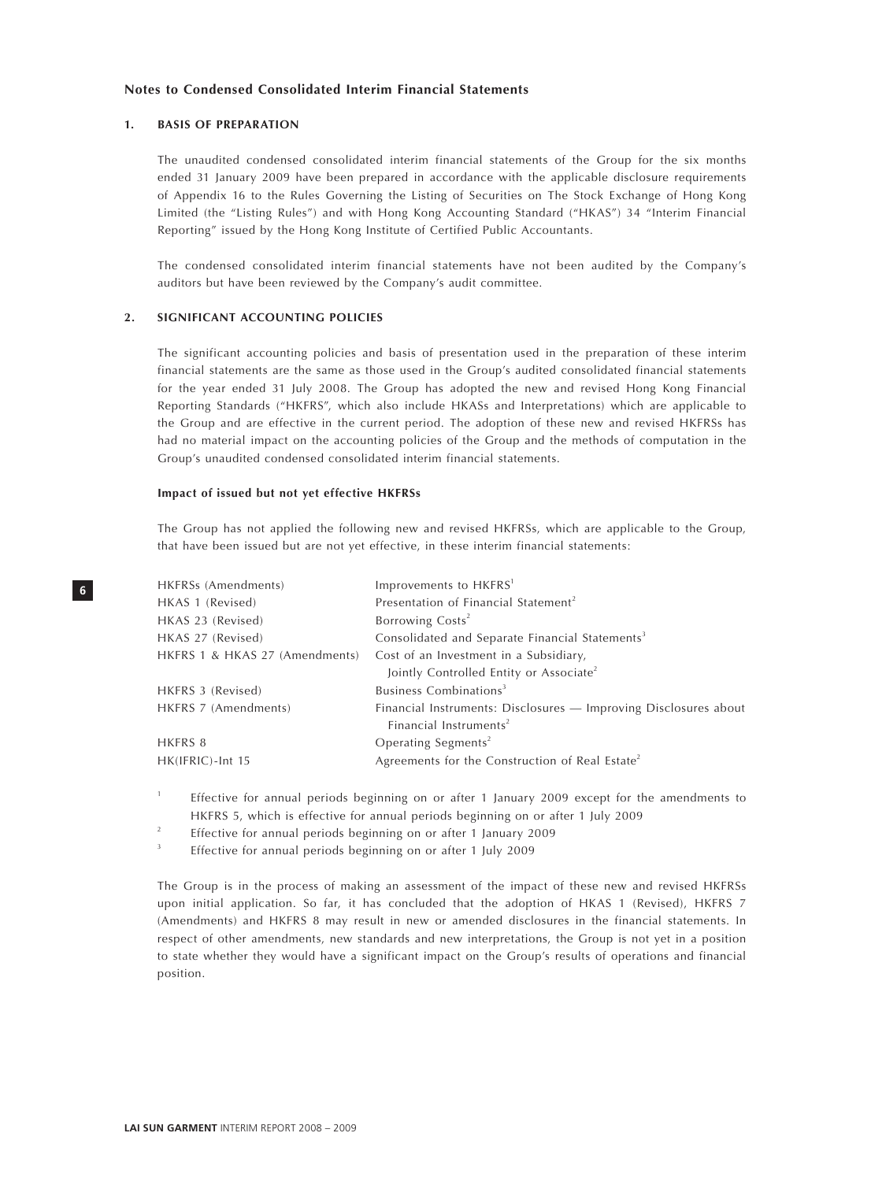#### **1. BASIS OF PREPARATION**

The unaudited condensed consolidated interim financial statements of the Group for the six months ended 31 January 2009 have been prepared in accordance with the applicable disclosure requirements of Appendix 16 to the Rules Governing the Listing of Securities on The Stock Exchange of Hong Kong Limited (the "Listing Rules") and with Hong Kong Accounting Standard ("HKAS") 34 "Interim Financial Reporting" issued by the Hong Kong Institute of Certified Public Accountants.

The condensed consolidated interim financial statements have not been audited by the Company's auditors but have been reviewed by the Company's audit committee.

### **2. SIGNIFICANT ACCOUNTING POLICIES**

The significant accounting policies and basis of presentation used in the preparation of these interim financial statements are the same as those used in the Group's audited consolidated financial statements for the year ended 31 July 2008. The Group has adopted the new and revised Hong Kong Financial Reporting Standards ("HKFRS", which also include HKASs and Interpretations) which are applicable to the Group and are effective in the current period. The adoption of these new and revised HKFRSs has had no material impact on the accounting policies of the Group and the methods of computation in the Group's unaudited condensed consolidated interim financial statements.

#### **Impact of issued but not yet effective HKFRSs**

The Group has not applied the following new and revised HKFRSs, which are applicable to the Group, that have been issued but are not yet effective, in these interim financial statements:

| HKFRSs (Amendments)            | Improvements to HKFRS <sup>1</sup>                                                                     |
|--------------------------------|--------------------------------------------------------------------------------------------------------|
| HKAS 1 (Revised)               | Presentation of Financial Statement <sup>2</sup>                                                       |
| HKAS 23 (Revised)              | Borrowing Costs <sup>2</sup>                                                                           |
| HKAS 27 (Revised)              | Consolidated and Separate Financial Statements <sup>3</sup>                                            |
| HKFRS 1 & HKAS 27 (Amendments) | Cost of an Investment in a Subsidiary,                                                                 |
|                                | Jointly Controlled Entity or Associate <sup>2</sup>                                                    |
| HKFRS 3 (Revised)              | Business Combinations <sup>3</sup>                                                                     |
| HKFRS 7 (Amendments)           | Financial Instruments: Disclosures - Improving Disclosures about<br>Financial Instruments <sup>2</sup> |
| HKFRS 8                        | Operating Segments <sup>2</sup>                                                                        |
| HK(IFRIC)-Int 15               | Agreements for the Construction of Real Estate <sup>2</sup>                                            |

- 1 Effective for annual periods beginning on or after 1 January 2009 except for the amendments to HKFRS 5, which is effective for annual periods beginning on or after 1 July 2009
- 2 Effective for annual periods beginning on or after 1 January 2009
- 3 Effective for annual periods beginning on or after 1 July 2009

The Group is in the process of making an assessment of the impact of these new and revised HKFRSs upon initial application. So far, it has concluded that the adoption of HKAS 1 (Revised), HKFRS 7 (Amendments) and HKFRS 8 may result in new or amended disclosures in the financial statements. In respect of other amendments, new standards and new interpretations, the Group is not yet in a position to state whether they would have a significant impact on the Group's results of operations and financial position.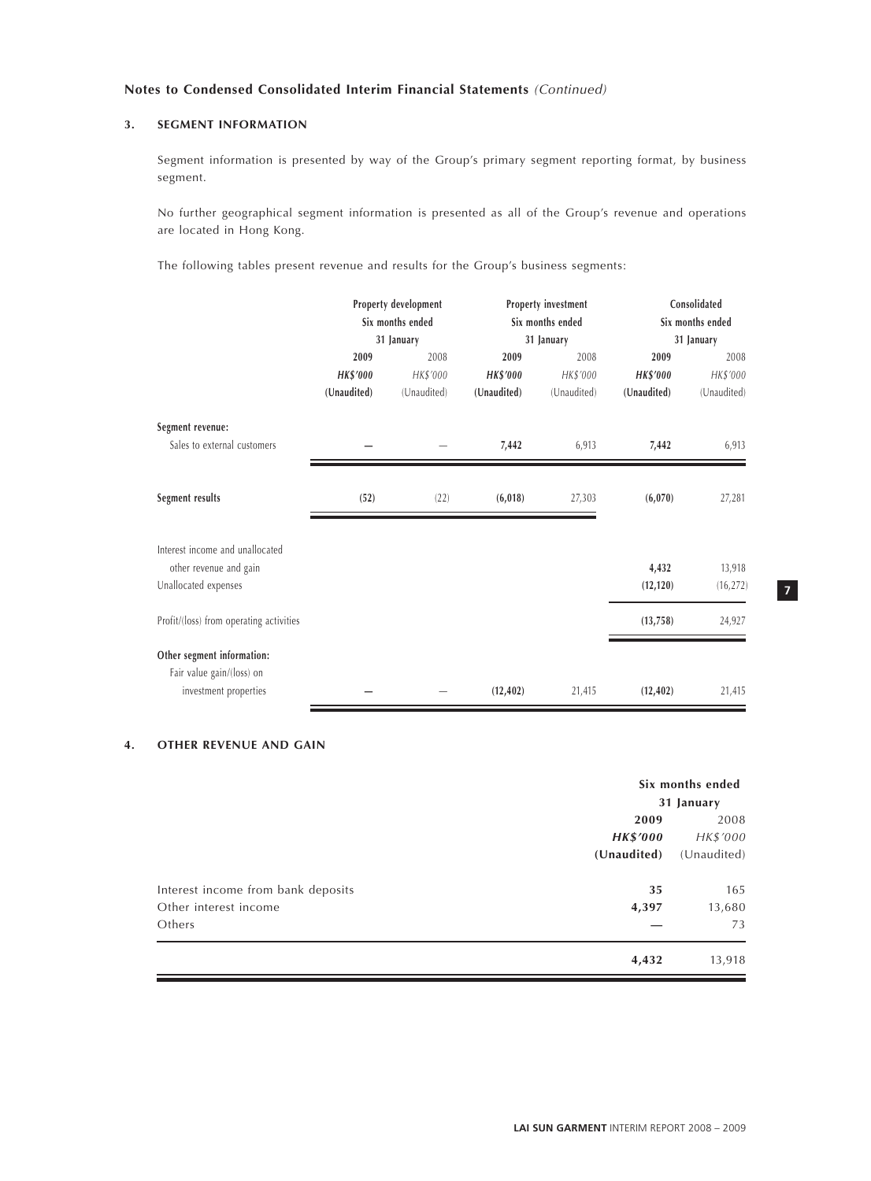## **3. SEGMENT INFORMATION**

Segment information is presented by way of the Group's primary segment reporting format, by business segment.

No further geographical segment information is presented as all of the Group's revenue and operations are located in Hong Kong.

The following tables present revenue and results for the Group's business segments:

|                                         | Property development<br>Six months ended<br>31 January |             |                 | Property investment<br>Six months ended | Consolidated<br>Six months ended |             |  |
|-----------------------------------------|--------------------------------------------------------|-------------|-----------------|-----------------------------------------|----------------------------------|-------------|--|
|                                         |                                                        |             |                 | 31 January                              | 31 January                       |             |  |
|                                         | 2009                                                   | 2008        | 2009            | 2008                                    | 2009                             | 2008        |  |
|                                         | <b>HK\$'000</b>                                        | HK\$'000    | <b>HK\$'000</b> | HK\$'000                                | <b>HK\$'000</b>                  | HK\$'000    |  |
|                                         | (Unaudited)                                            | (Unaudited) | (Unaudited)     | (Unaudited)                             | (Unaudited)                      | (Unaudited) |  |
| Segment revenue:                        |                                                        |             |                 |                                         |                                  |             |  |
| Sales to external customers             |                                                        |             | 7,442           | 6,913                                   | 7,442                            | 6,913       |  |
|                                         |                                                        |             |                 |                                         |                                  |             |  |
| Segment results                         | (52)                                                   | (22)        | (6,018)         | 27,303                                  | (6,070)                          | 27,281      |  |
|                                         |                                                        |             |                 |                                         |                                  |             |  |
| Interest income and unallocated         |                                                        |             |                 |                                         |                                  |             |  |
| other revenue and gain                  |                                                        |             |                 |                                         | 4,432                            | 13,918      |  |
| Unallocated expenses                    |                                                        |             |                 |                                         | (12, 120)                        | (16, 272)   |  |
| Profit/(loss) from operating activities |                                                        |             |                 |                                         | (13, 758)                        | 24,927      |  |
| Other segment information:              |                                                        |             |                 |                                         |                                  |             |  |
| Fair value gain/(loss) on               |                                                        |             |                 |                                         |                                  |             |  |
| investment properties                   |                                                        |             | (12, 402)       | 21,415                                  | (12, 402)                        | 21,415      |  |

## **4. OTHER REVENUE AND GAIN**

|                                    | Six months ended |             |  |
|------------------------------------|------------------|-------------|--|
|                                    | 31 January       |             |  |
|                                    | 2009             |             |  |
|                                    | <b>HK\$'000</b>  | HK\$'000    |  |
|                                    | (Unaudited)      | (Unaudited) |  |
| Interest income from bank deposits | 35               | 165         |  |
| Other interest income              | 4,397            | 13,680      |  |
| Others                             |                  | 73          |  |
|                                    | 4,432            | 13,918      |  |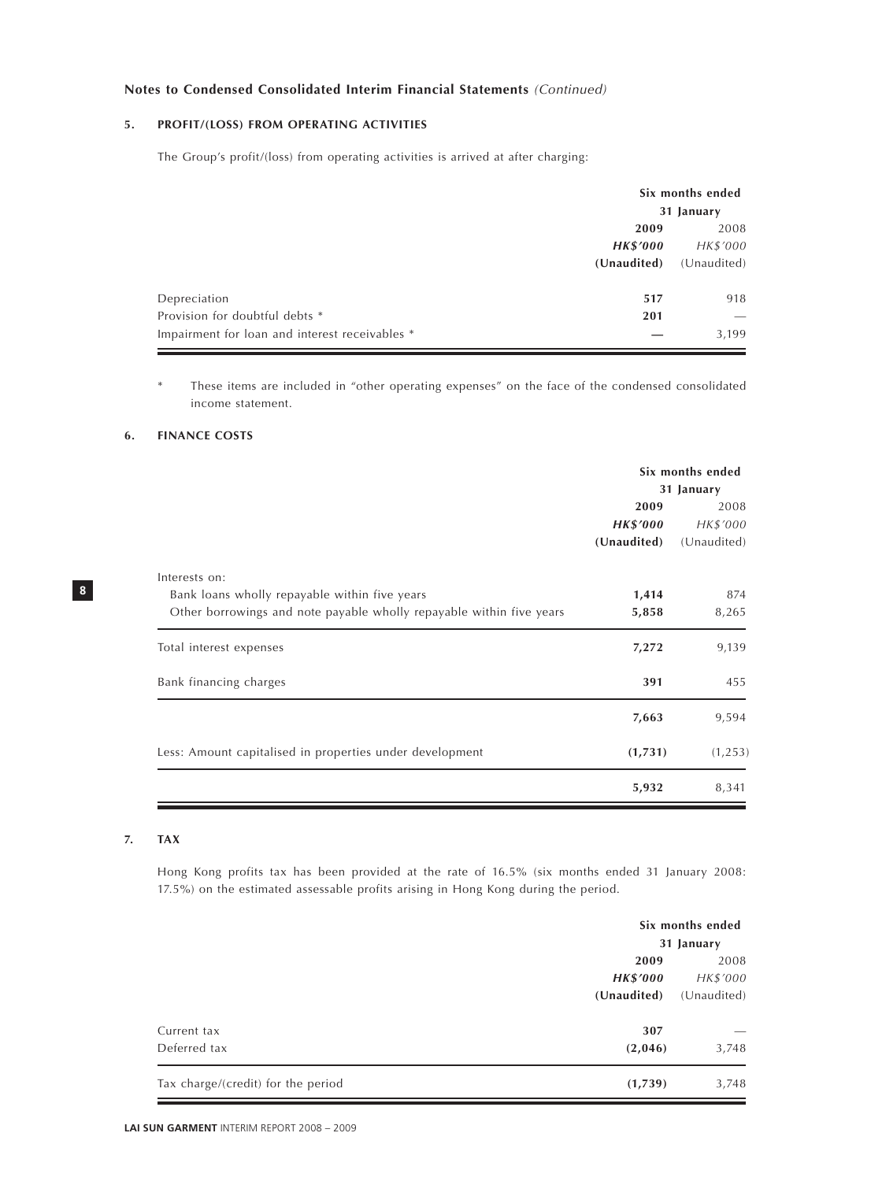## **5. PROFIT/(LOSS) FROM OPERATING ACTIVITIES**

The Group's profit/(loss) from operating activities is arrived at after charging:

|                                                | Six months ended |             |  |
|------------------------------------------------|------------------|-------------|--|
|                                                | 31 January       |             |  |
|                                                | 2009             | 2008        |  |
|                                                | <b>HK\$'000</b>  | HK\$'000    |  |
|                                                | (Unaudited)      | (Unaudited) |  |
| Depreciation                                   | 517              | 918         |  |
| Provision for doubtful debts *                 | 201              |             |  |
| Impairment for loan and interest receivables * |                  | 3,199       |  |

These items are included in "other operating expenses" on the face of the condensed consolidated income statement.

## **6. FINANCE COSTS**

|                                                                                                                                        | Six months ended<br>31 January |                  |  |
|----------------------------------------------------------------------------------------------------------------------------------------|--------------------------------|------------------|--|
|                                                                                                                                        | 2009<br><b>HK\$'000</b>        | 2008<br>HK\$'000 |  |
|                                                                                                                                        | (Unaudited)                    | (Unaudited)      |  |
| Interests on:<br>Bank loans wholly repayable within five years<br>Other borrowings and note payable wholly repayable within five years | 1,414<br>5,858                 | 874<br>8,265     |  |
| Total interest expenses                                                                                                                | 7,272                          | 9,139            |  |
| Bank financing charges                                                                                                                 | 391                            | 455              |  |
|                                                                                                                                        | 7,663                          | 9,594            |  |
| Less: Amount capitalised in properties under development                                                                               | (1,731)                        | (1, 253)         |  |
|                                                                                                                                        | 5,932                          | 8,341            |  |

## **7. TAX**

**8**

Hong Kong profits tax has been provided at the rate of 16.5% (six months ended 31 January 2008: 17.5%) on the estimated assessable profits arising in Hong Kong during the period.

|                                    |                 | Six months ended |  |  |
|------------------------------------|-----------------|------------------|--|--|
|                                    |                 | 31 January       |  |  |
|                                    | 2009            | 2008             |  |  |
|                                    | <b>HK\$'000</b> | HK\$'000         |  |  |
|                                    | (Unaudited)     | (Unaudited)      |  |  |
| Current tax                        | 307             |                  |  |  |
| Deferred tax                       | (2,046)         | 3,748            |  |  |
| Tax charge/(credit) for the period | (1,739)         | 3,748            |  |  |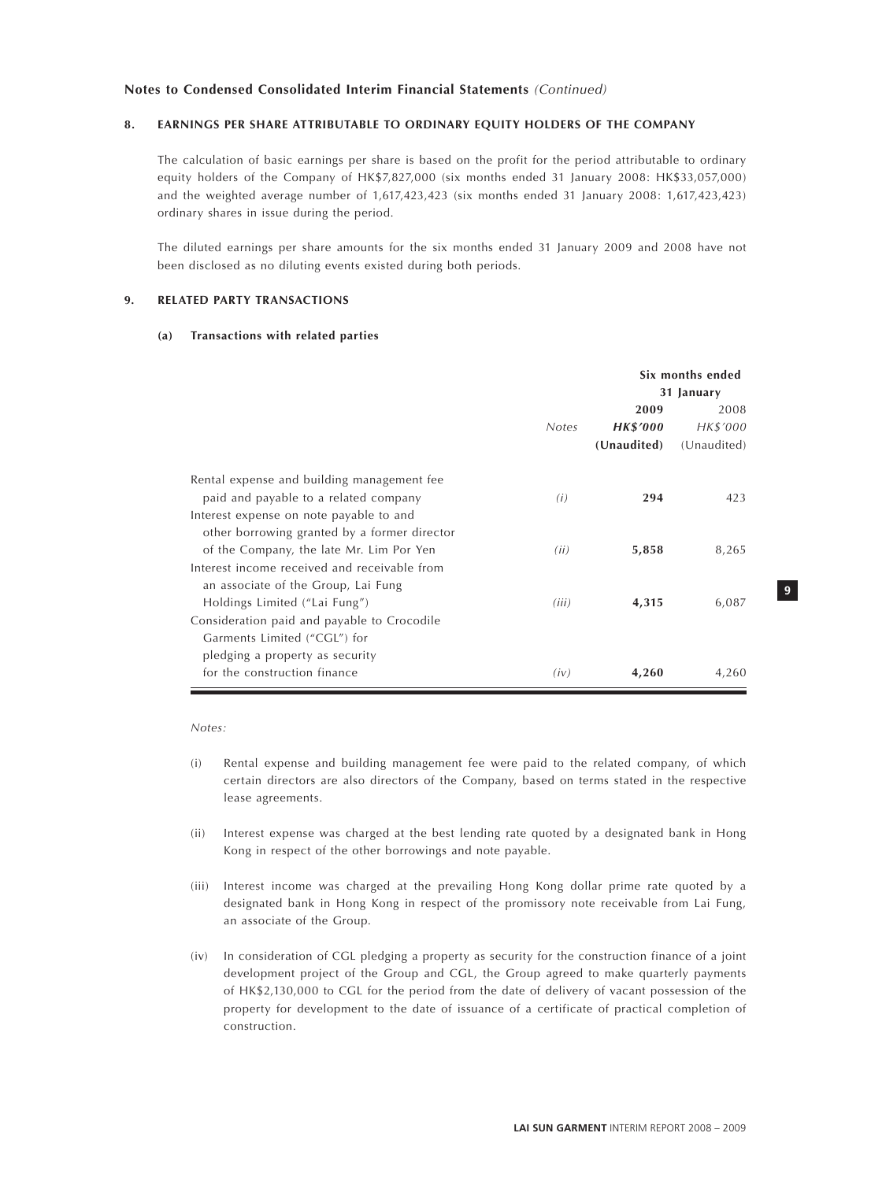#### **8. EARNINGS PER SHARE ATTRIBUTABLE TO ORDINARY EQUITY HOLDERS OF THE COMPANY**

The calculation of basic earnings per share is based on the profit for the period attributable to ordinary equity holders of the Company of HK\$7,827,000 (six months ended 31 January 2008: HK\$33,057,000) and the weighted average number of 1,617,423,423 (six months ended 31 January 2008: 1,617,423,423) ordinary shares in issue during the period.

The diluted earnings per share amounts for the six months ended 31 January 2009 and 2008 have not been disclosed as no diluting events existed during both periods.

#### **9. RELATED PARTY TRANSACTIONS**

### **(a) Transactions with related parties**

|                                              |              | Six months ended |             |  |
|----------------------------------------------|--------------|------------------|-------------|--|
|                                              |              | 31 January       |             |  |
|                                              |              | 2009             | 2008        |  |
|                                              | <b>Notes</b> | <b>HK\$'000</b>  | HK\$'000    |  |
|                                              |              | (Unaudited)      | (Unaudited) |  |
| Rental expense and building management fee   |              |                  |             |  |
| paid and payable to a related company        | (i)          | 294              | 423         |  |
| Interest expense on note payable to and      |              |                  |             |  |
| other borrowing granted by a former director |              |                  |             |  |
| of the Company, the late Mr. Lim Por Yen     | (ii)         | 5,858            | 8,265       |  |
| Interest income received and receivable from |              |                  |             |  |
| an associate of the Group, Lai Fung          |              |                  |             |  |
| Holdings Limited ("Lai Fung")                | (iii)        | 4,315            | 6,087       |  |
| Consideration paid and payable to Crocodile  |              |                  |             |  |
| Garments Limited ("CGL") for                 |              |                  |             |  |
| pledging a property as security              |              |                  |             |  |
| for the construction finance                 | (iv)         | 4,260            | 4,260       |  |

*Notes:*

- (i) Rental expense and building management fee were paid to the related company, of which certain directors are also directors of the Company, based on terms stated in the respective lease agreements.
- (ii) Interest expense was charged at the best lending rate quoted by a designated bank in Hong Kong in respect of the other borrowings and note payable.
- (iii) Interest income was charged at the prevailing Hong Kong dollar prime rate quoted by a designated bank in Hong Kong in respect of the promissory note receivable from Lai Fung, an associate of the Group.
- (iv) In consideration of CGL pledging a property as security for the construction finance of a joint development project of the Group and CGL, the Group agreed to make quarterly payments of HK\$2,130,000 to CGL for the period from the date of delivery of vacant possession of the property for development to the date of issuance of a certificate of practical completion of construction.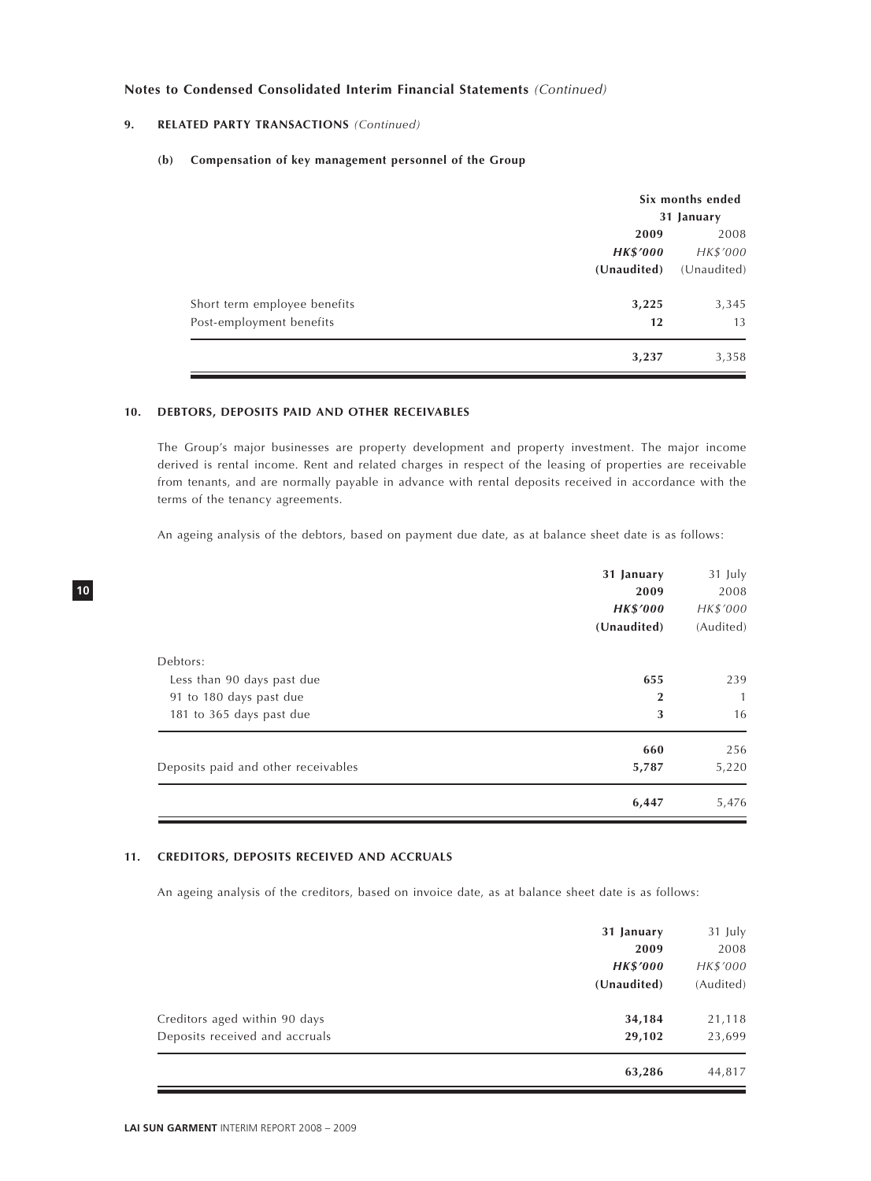### **9. RELATED PARTY TRANSACTIONS** *(Continued)*

#### **(b) Compensation of key management personnel of the Group**

|                              | Six months ended |             |  |
|------------------------------|------------------|-------------|--|
|                              | 31 January       |             |  |
|                              | 2009             |             |  |
|                              | <b>HK\$'000</b>  | HK\$'000    |  |
|                              | (Unaudited)      | (Unaudited) |  |
| Short term employee benefits | 3,225            | 3,345       |  |
| Post-employment benefits     | 12               | 13          |  |
|                              | 3,237            | 3,358       |  |

### **10. DEBTORS, DEPOSITS PAID AND OTHER RECEIVABLES**

The Group's major businesses are property development and property investment. The major income derived is rental income. Rent and related charges in respect of the leasing of properties are receivable from tenants, and are normally payable in advance with rental deposits received in accordance with the terms of the tenancy agreements.

An ageing analysis of the debtors, based on payment due date, as at balance sheet date is as follows:

|                                     | 6,447           | 5,476     |
|-------------------------------------|-----------------|-----------|
| Deposits paid and other receivables | 5,787           | 5,220     |
|                                     | 660             | 256       |
| 181 to 365 days past due            | 3               | 16        |
| 91 to 180 days past due             | $\mathbf 2$     | 1         |
| Less than 90 days past due          | 655             | 239       |
| Debtors:                            |                 |           |
|                                     | (Unaudited)     | (Audited) |
|                                     | <b>HK\$'000</b> | HK\$'000  |
|                                     | 2009            | 2008      |
|                                     | 31 January      | 31 July   |

### **11. CREDITORS, DEPOSITS RECEIVED AND ACCRUALS**

An ageing analysis of the creditors, based on invoice date, as at balance sheet date is as follows:

|                                | 31 January      | 31 July   |
|--------------------------------|-----------------|-----------|
|                                | 2009            | 2008      |
|                                | <b>HK\$'000</b> | HK\$'000  |
|                                | (Unaudited)     | (Audited) |
| Creditors aged within 90 days  | 34,184          | 21,118    |
| Deposits received and accruals | 29,102          | 23,699    |
|                                | 63,286          | 44,817    |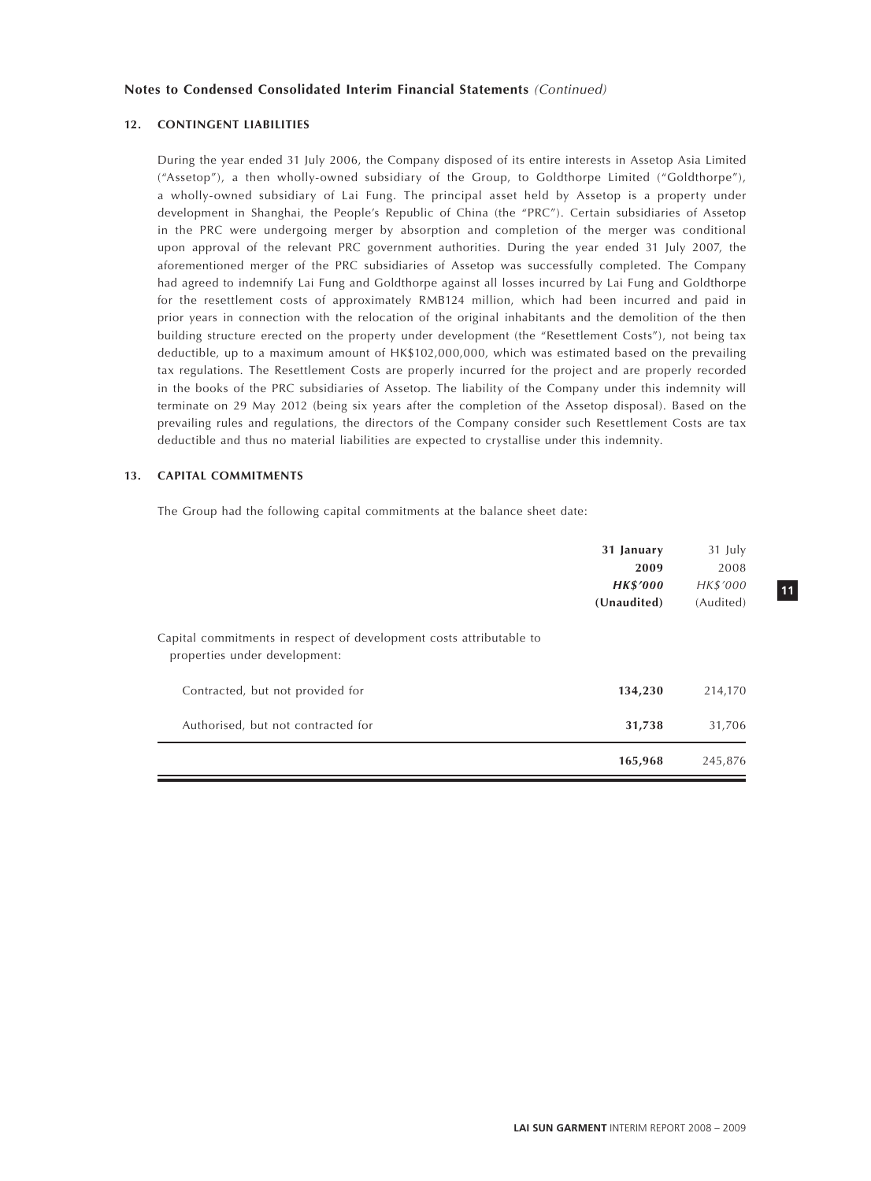#### **12. CONTINGENT LIABILITIES**

During the year ended 31 July 2006, the Company disposed of its entire interests in Assetop Asia Limited ("Assetop"), a then wholly-owned subsidiary of the Group, to Goldthorpe Limited ("Goldthorpe"), a wholly-owned subsidiary of Lai Fung. The principal asset held by Assetop is a property under development in Shanghai, the People's Republic of China (the "PRC"). Certain subsidiaries of Assetop in the PRC were undergoing merger by absorption and completion of the merger was conditional upon approval of the relevant PRC government authorities. During the year ended 31 July 2007, the aforementioned merger of the PRC subsidiaries of Assetop was successfully completed. The Company had agreed to indemnify Lai Fung and Goldthorpe against all losses incurred by Lai Fung and Goldthorpe for the resettlement costs of approximately RMB124 million, which had been incurred and paid in prior years in connection with the relocation of the original inhabitants and the demolition of the then building structure erected on the property under development (the "Resettlement Costs"), not being tax deductible, up to a maximum amount of HK\$102,000,000, which was estimated based on the prevailing tax regulations. The Resettlement Costs are properly incurred for the project and are properly recorded in the books of the PRC subsidiaries of Assetop. The liability of the Company under this indemnity will terminate on 29 May 2012 (being six years after the completion of the Assetop disposal). Based on the prevailing rules and regulations, the directors of the Company consider such Resettlement Costs are tax deductible and thus no material liabilities are expected to crystallise under this indemnity.

#### **13. CAPITAL COMMITMENTS**

The Group had the following capital commitments at the balance sheet date:

|                                                                                                      | 31 January      | 31 July   |
|------------------------------------------------------------------------------------------------------|-----------------|-----------|
|                                                                                                      | 2009            | 2008      |
|                                                                                                      | <b>HK\$'000</b> | HK\$'000  |
|                                                                                                      | (Unaudited)     | (Audited) |
| Capital commitments in respect of development costs attributable to<br>properties under development: |                 |           |
| Contracted, but not provided for                                                                     | 134,230         | 214,170   |
| Authorised, but not contracted for                                                                   | 31,738          | 31,706    |
|                                                                                                      | 165,968         | 245,876   |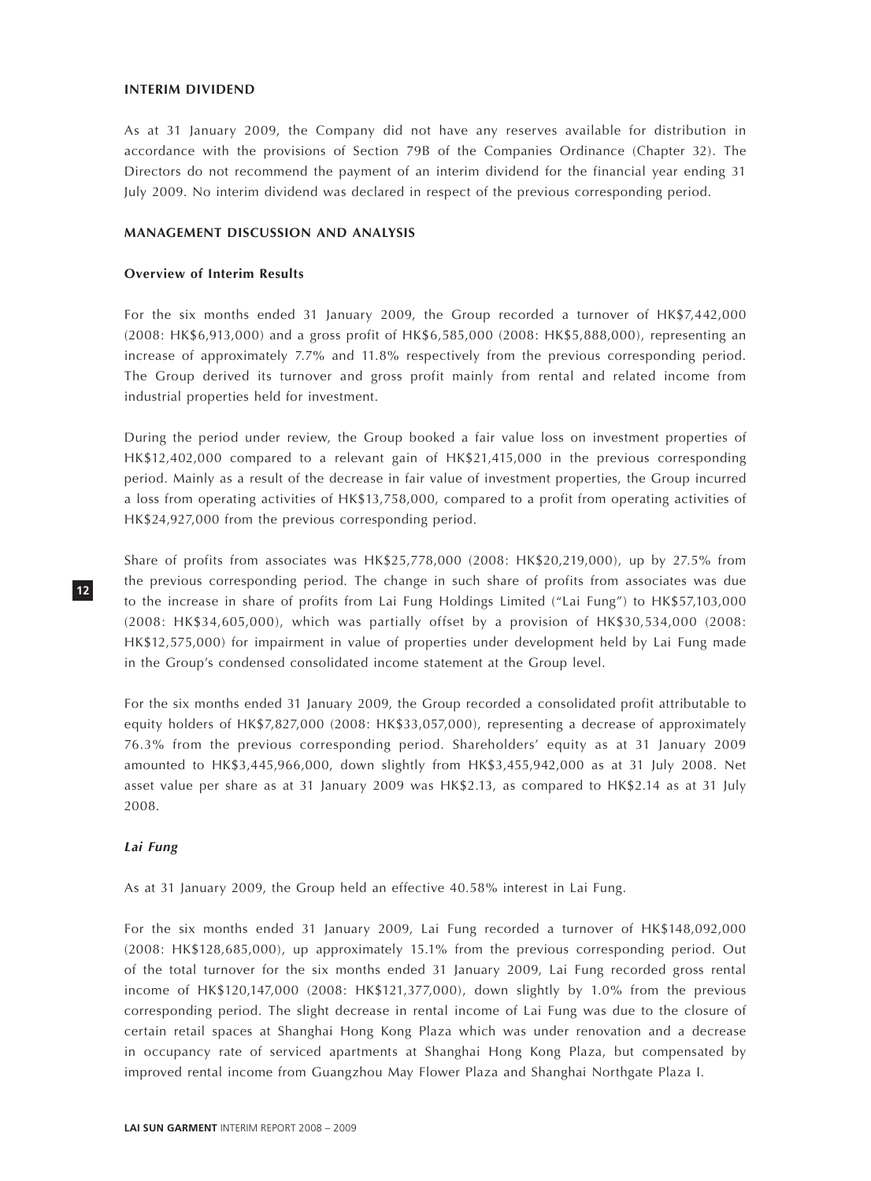#### **INTERIM DIVIDEND**

As at 31 January 2009, the Company did not have any reserves available for distribution in accordance with the provisions of Section 79B of the Companies Ordinance (Chapter 32). The Directors do not recommend the payment of an interim dividend for the financial year ending 31 July 2009. No interim dividend was declared in respect of the previous corresponding period.

### **MANAGEMENT DISCUSSION AND ANALYSIS**

### **Overview of Interim Results**

For the six months ended 31 January 2009, the Group recorded a turnover of HK\$7,442,000 (2008: HK\$6,913,000) and a gross profit of HK\$6,585,000 (2008: HK\$5,888,000), representing an increase of approximately 7.7% and 11.8% respectively from the previous corresponding period. The Group derived its turnover and gross profit mainly from rental and related income from industrial properties held for investment.

During the period under review, the Group booked a fair value loss on investment properties of HK\$12,402,000 compared to a relevant gain of HK\$21,415,000 in the previous corresponding period. Mainly as a result of the decrease in fair value of investment properties, the Group incurred a loss from operating activities of HK\$13,758,000, compared to a profit from operating activities of HK\$24,927,000 from the previous corresponding period.

Share of profits from associates was HK\$25,778,000 (2008: HK\$20,219,000), up by 27.5% from the previous corresponding period. The change in such share of profits from associates was due to the increase in share of profits from Lai Fung Holdings Limited ("Lai Fung") to HK\$57,103,000 (2008: HK\$34,605,000), which was partially offset by a provision of HK\$30,534,000 (2008: HK\$12,575,000) for impairment in value of properties under development held by Lai Fung made in the Group's condensed consolidated income statement at the Group level.

For the six months ended 31 January 2009, the Group recorded a consolidated profit attributable to equity holders of HK\$7,827,000 (2008: HK\$33,057,000), representing a decrease of approximately 76.3% from the previous corresponding period. Shareholders' equity as at 31 January 2009 amounted to HK\$3,445,966,000, down slightly from HK\$3,455,942,000 as at 31 July 2008. Net asset value per share as at 31 January 2009 was HK\$2.13, as compared to HK\$2.14 as at 31 July 2008.

### *Lai Fung*

**12**

As at 31 January 2009, the Group held an effective 40.58% interest in Lai Fung.

For the six months ended 31 January 2009, Lai Fung recorded a turnover of HK\$148,092,000 (2008: HK\$128,685,000), up approximately 15.1% from the previous corresponding period. Out of the total turnover for the six months ended 31 January 2009, Lai Fung recorded gross rental income of HK\$120,147,000 (2008: HK\$121,377,000), down slightly by 1.0% from the previous corresponding period. The slight decrease in rental income of Lai Fung was due to the closure of certain retail spaces at Shanghai Hong Kong Plaza which was under renovation and a decrease in occupancy rate of serviced apartments at Shanghai Hong Kong Plaza, but compensated by improved rental income from Guangzhou May Flower Plaza and Shanghai Northgate Plaza I.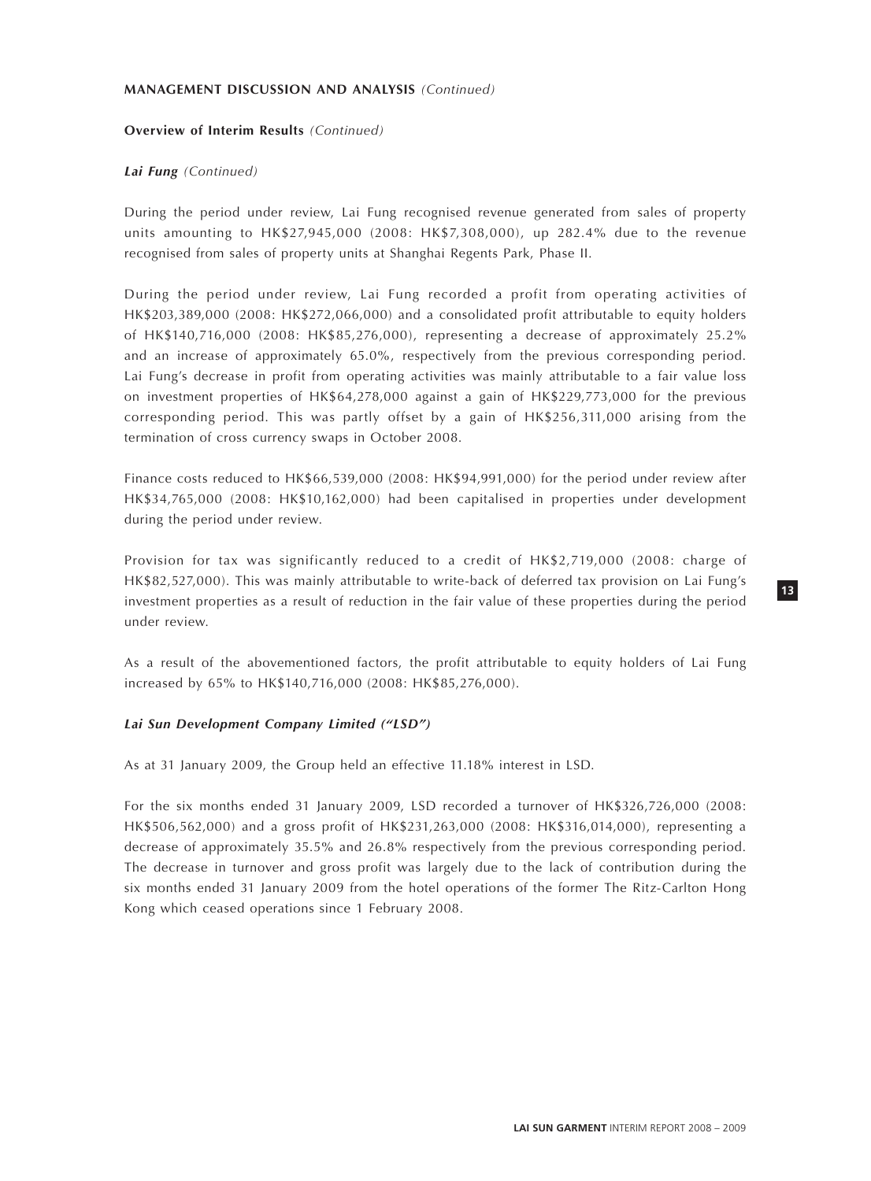### **Overview of Interim Results** *(Continued)*

### *Lai Fung (Continued)*

During the period under review, Lai Fung recognised revenue generated from sales of property units amounting to HK\$27,945,000 (2008: HK\$7,308,000), up 282.4% due to the revenue recognised from sales of property units at Shanghai Regents Park, Phase II.

During the period under review, Lai Fung recorded a profit from operating activities of HK\$203,389,000 (2008: HK\$272,066,000) and a consolidated profit attributable to equity holders of HK\$140,716,000 (2008: HK\$85,276,000), representing a decrease of approximately 25.2% and an increase of approximately 65.0%, respectively from the previous corresponding period. Lai Fung's decrease in profit from operating activities was mainly attributable to a fair value loss on investment properties of HK\$64,278,000 against a gain of HK\$229,773,000 for the previous corresponding period. This was partly offset by a gain of HK\$256,311,000 arising from the termination of cross currency swaps in October 2008.

Finance costs reduced to HK\$66,539,000 (2008: HK\$94,991,000) for the period under review after HK\$34,765,000 (2008: HK\$10,162,000) had been capitalised in properties under development during the period under review.

Provision for tax was significantly reduced to a credit of HK\$2,719,000 (2008: charge of HK\$82,527,000). This was mainly attributable to write-back of deferred tax provision on Lai Fung's investment properties as a result of reduction in the fair value of these properties during the period under review.

As a result of the abovementioned factors, the profit attributable to equity holders of Lai Fung increased by 65% to HK\$140,716,000 (2008: HK\$85,276,000).

### *Lai Sun Development Company Limited ("LSD")*

As at 31 January 2009, the Group held an effective 11.18% interest in LSD.

For the six months ended 31 January 2009, LSD recorded a turnover of HK\$326,726,000 (2008: HK\$506,562,000) and a gross profit of HK\$231,263,000 (2008: HK\$316,014,000), representing a decrease of approximately 35.5% and 26.8% respectively from the previous corresponding period. The decrease in turnover and gross profit was largely due to the lack of contribution during the six months ended 31 January 2009 from the hotel operations of the former The Ritz-Carlton Hong Kong which ceased operations since 1 February 2008.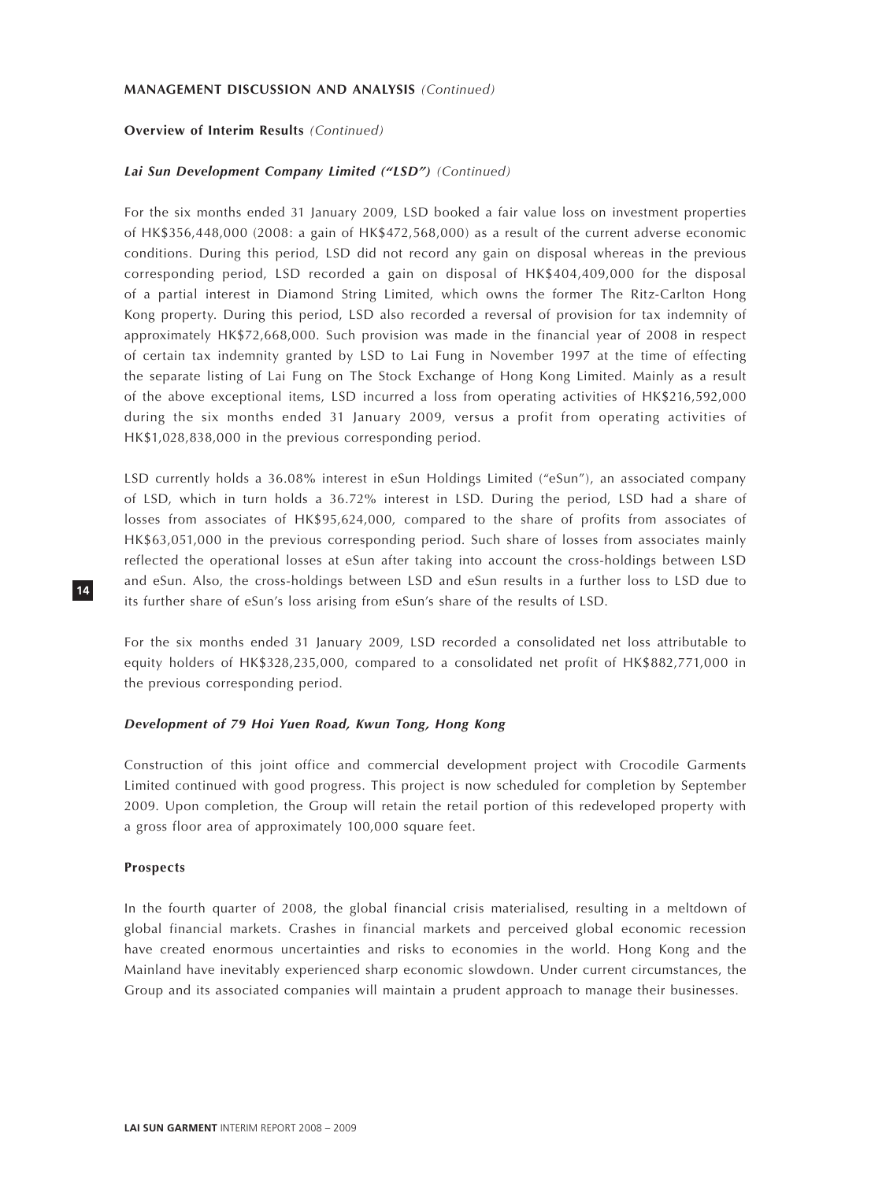#### **Overview of Interim Results** *(Continued)*

### *Lai Sun Development Company Limited ("LSD") (Continued)*

For the six months ended 31 January 2009, LSD booked a fair value loss on investment properties of HK\$356,448,000 (2008: a gain of HK\$472,568,000) as a result of the current adverse economic conditions. During this period, LSD did not record any gain on disposal whereas in the previous corresponding period, LSD recorded a gain on disposal of HK\$404,409,000 for the disposal of a partial interest in Diamond String Limited, which owns the former The Ritz-Carlton Hong Kong property. During this period, LSD also recorded a reversal of provision for tax indemnity of approximately HK\$72,668,000. Such provision was made in the financial year of 2008 in respect of certain tax indemnity granted by LSD to Lai Fung in November 1997 at the time of effecting the separate listing of Lai Fung on The Stock Exchange of Hong Kong Limited. Mainly as a result of the above exceptional items, LSD incurred a loss from operating activities of HK\$216,592,000 during the six months ended 31 January 2009, versus a profit from operating activities of HK\$1,028,838,000 in the previous corresponding period.

LSD currently holds a 36.08% interest in eSun Holdings Limited ("eSun"), an associated company of LSD, which in turn holds a 36.72% interest in LSD. During the period, LSD had a share of losses from associates of HK\$95,624,000, compared to the share of profits from associates of HK\$63,051,000 in the previous corresponding period. Such share of losses from associates mainly reflected the operational losses at eSun after taking into account the cross-holdings between LSD and eSun. Also, the cross-holdings between LSD and eSun results in a further loss to LSD due to its further share of eSun's loss arising from eSun's share of the results of LSD.

For the six months ended 31 January 2009, LSD recorded a consolidated net loss attributable to equity holders of HK\$328,235,000, compared to a consolidated net profit of HK\$882,771,000 in the previous corresponding period.

### *Development of 79 Hoi Yuen Road, Kwun Tong, Hong Kong*

Construction of this joint office and commercial development project with Crocodile Garments Limited continued with good progress. This project is now scheduled for completion by September 2009. Upon completion, the Group will retain the retail portion of this redeveloped property with a gross floor area of approximately 100,000 square feet.

#### **Prospects**

In the fourth quarter of 2008, the global financial crisis materialised, resulting in a meltdown of global financial markets. Crashes in financial markets and perceived global economic recession have created enormous uncertainties and risks to economies in the world. Hong Kong and the Mainland have inevitably experienced sharp economic slowdown. Under current circumstances, the Group and its associated companies will maintain a prudent approach to manage their businesses.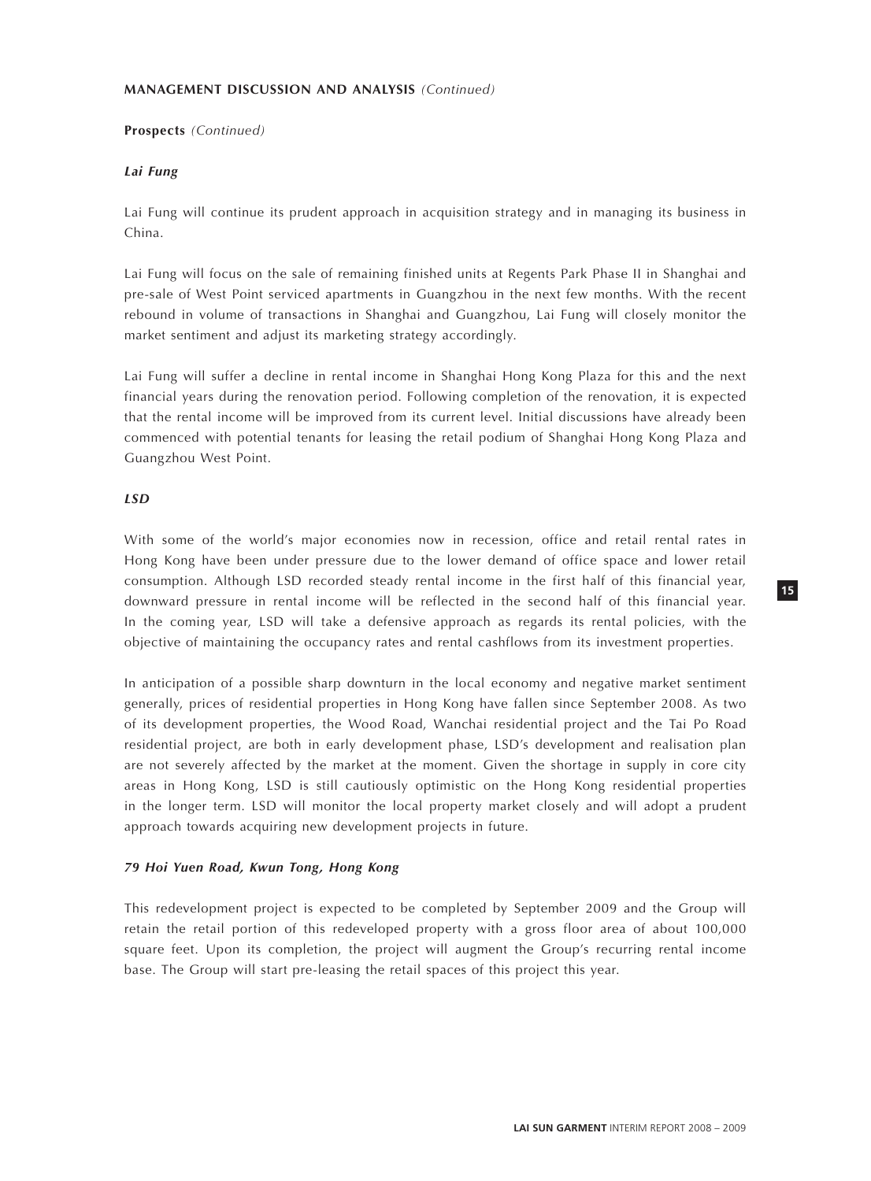### **Prospects** *(Continued)*

### *Lai Fung*

Lai Fung will continue its prudent approach in acquisition strategy and in managing its business in China.

Lai Fung will focus on the sale of remaining finished units at Regents Park Phase II in Shanghai and pre-sale of West Point serviced apartments in Guangzhou in the next few months. With the recent rebound in volume of transactions in Shanghai and Guangzhou, Lai Fung will closely monitor the market sentiment and adjust its marketing strategy accordingly.

Lai Fung will suffer a decline in rental income in Shanghai Hong Kong Plaza for this and the next financial years during the renovation period. Following completion of the renovation, it is expected that the rental income will be improved from its current level. Initial discussions have already been commenced with potential tenants for leasing the retail podium of Shanghai Hong Kong Plaza and Guangzhou West Point.

### *LSD*

With some of the world's major economies now in recession, office and retail rental rates in Hong Kong have been under pressure due to the lower demand of office space and lower retail consumption. Although LSD recorded steady rental income in the first half of this financial year, downward pressure in rental income will be reflected in the second half of this financial year. In the coming year, LSD will take a defensive approach as regards its rental policies, with the objective of maintaining the occupancy rates and rental cashflows from its investment properties.

In anticipation of a possible sharp downturn in the local economy and negative market sentiment generally, prices of residential properties in Hong Kong have fallen since September 2008. As two of its development properties, the Wood Road, Wanchai residential project and the Tai Po Road residential project, are both in early development phase, LSD's development and realisation plan are not severely affected by the market at the moment. Given the shortage in supply in core city areas in Hong Kong, LSD is still cautiously optimistic on the Hong Kong residential properties in the longer term. LSD will monitor the local property market closely and will adopt a prudent approach towards acquiring new development projects in future.

### *79 Hoi Yuen Road, Kwun Tong, Hong Kong*

This redevelopment project is expected to be completed by September 2009 and the Group will retain the retail portion of this redeveloped property with a gross floor area of about 100,000 square feet. Upon its completion, the project will augment the Group's recurring rental income base. The Group will start pre-leasing the retail spaces of this project this year.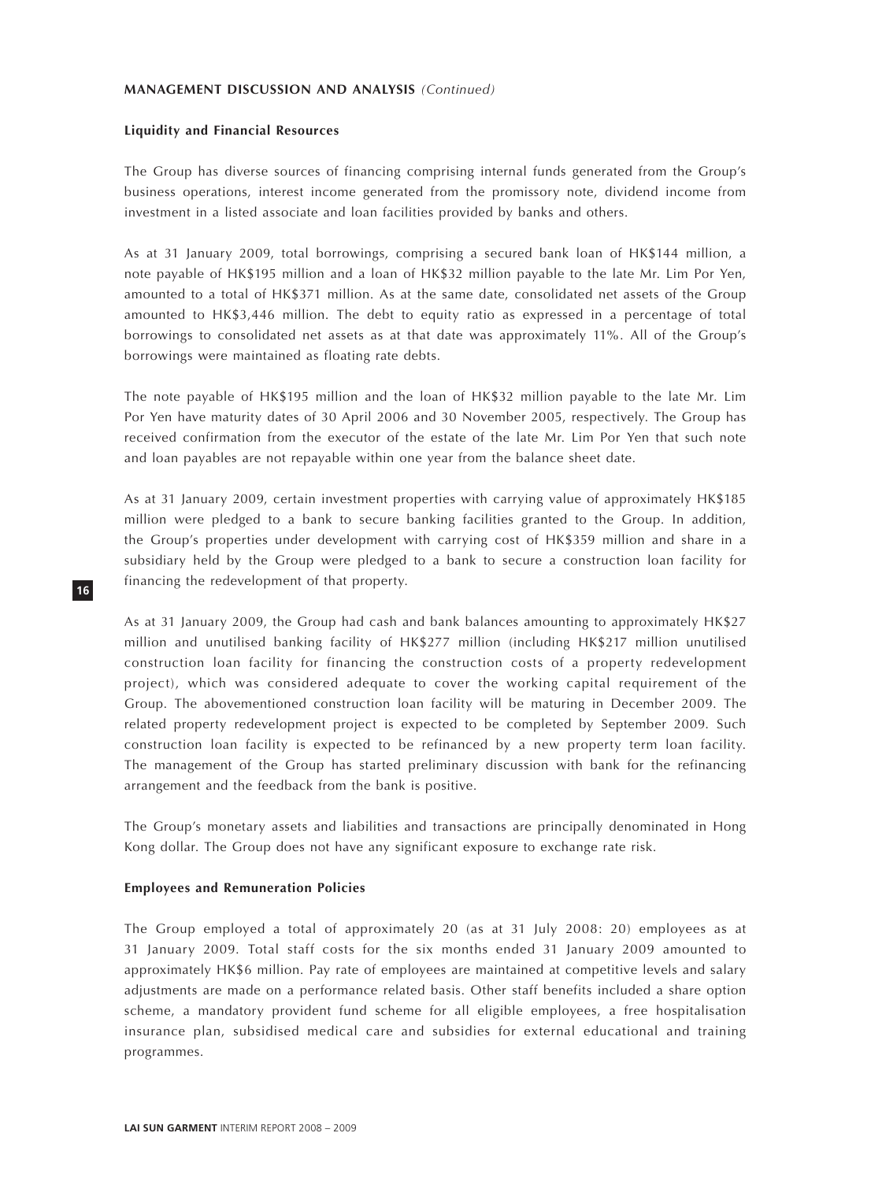### **Liquidity and Financial Resources**

The Group has diverse sources of financing comprising internal funds generated from the Group's business operations, interest income generated from the promissory note, dividend income from investment in a listed associate and loan facilities provided by banks and others.

As at 31 January 2009, total borrowings, comprising a secured bank loan of HK\$144 million, a note payable of HK\$195 million and a loan of HK\$32 million payable to the late Mr. Lim Por Yen, amounted to a total of HK\$371 million. As at the same date, consolidated net assets of the Group amounted to HK\$3,446 million. The debt to equity ratio as expressed in a percentage of total borrowings to consolidated net assets as at that date was approximately 11%. All of the Group's borrowings were maintained as floating rate debts.

The note payable of HK\$195 million and the loan of HK\$32 million payable to the late Mr. Lim Por Yen have maturity dates of 30 April 2006 and 30 November 2005, respectively. The Group has received confirmation from the executor of the estate of the late Mr. Lim Por Yen that such note and loan payables are not repayable within one year from the balance sheet date.

As at 31 January 2009, certain investment properties with carrying value of approximately HK\$185 million were pledged to a bank to secure banking facilities granted to the Group. In addition, the Group's properties under development with carrying cost of HK\$359 million and share in a subsidiary held by the Group were pledged to a bank to secure a construction loan facility for financing the redevelopment of that property.

As at 31 January 2009, the Group had cash and bank balances amounting to approximately HK\$27 million and unutilised banking facility of HK\$277 million (including HK\$217 million unutilised construction loan facility for financing the construction costs of a property redevelopment project), which was considered adequate to cover the working capital requirement of the Group. The abovementioned construction loan facility will be maturing in December 2009. The related property redevelopment project is expected to be completed by September 2009. Such construction loan facility is expected to be refinanced by a new property term loan facility. The management of the Group has started preliminary discussion with bank for the refinancing arrangement and the feedback from the bank is positive.

The Group's monetary assets and liabilities and transactions are principally denominated in Hong Kong dollar. The Group does not have any significant exposure to exchange rate risk.

### **Employees and Remuneration Policies**

**16**

The Group employed a total of approximately 20 (as at 31 July 2008: 20) employees as at 31 January 2009. Total staff costs for the six months ended 31 January 2009 amounted to approximately HK\$6 million. Pay rate of employees are maintained at competitive levels and salary adjustments are made on a performance related basis. Other staff benefits included a share option scheme, a mandatory provident fund scheme for all eligible employees, a free hospitalisation insurance plan, subsidised medical care and subsidies for external educational and training programmes.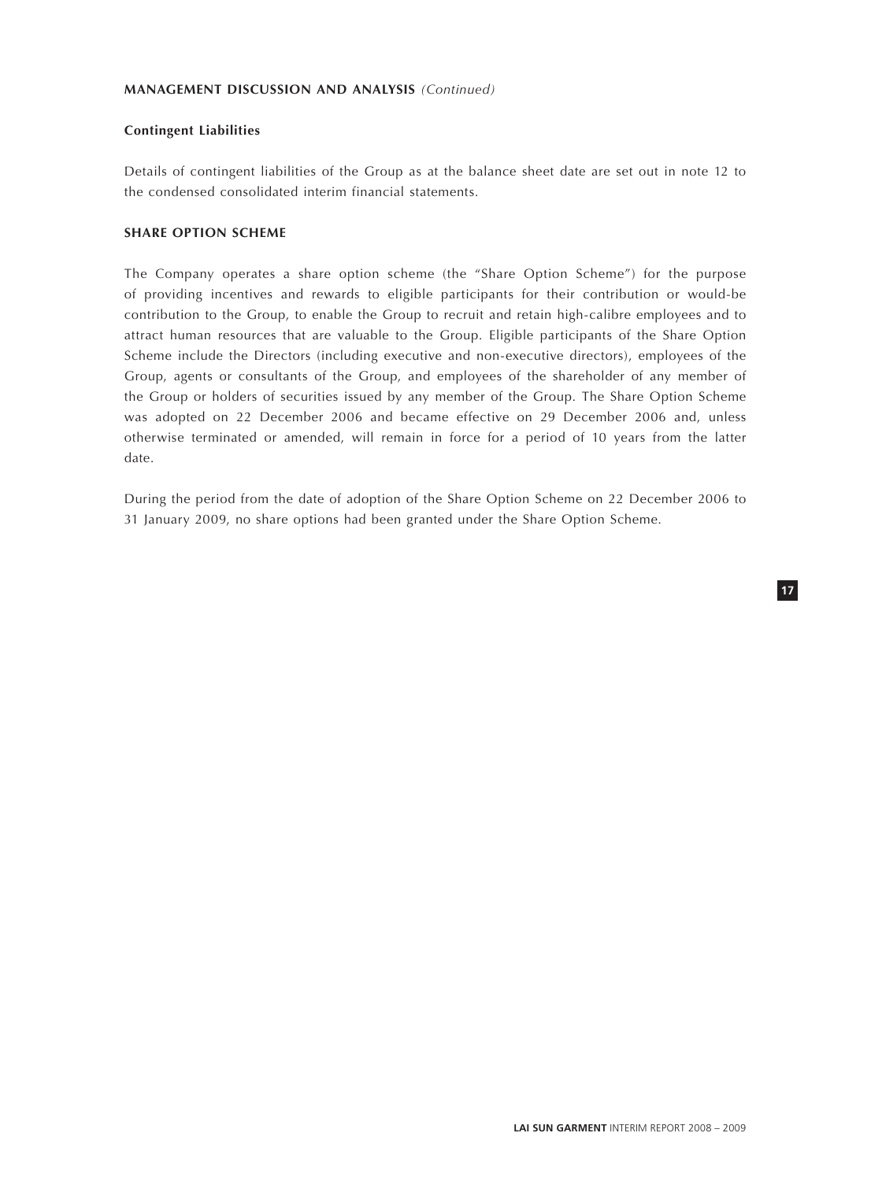### **Contingent Liabilities**

Details of contingent liabilities of the Group as at the balance sheet date are set out in note 12 to the condensed consolidated interim financial statements.

## **SHARE OPTION SCHEME**

The Company operates a share option scheme (the "Share Option Scheme") for the purpose of providing incentives and rewards to eligible participants for their contribution or would-be contribution to the Group, to enable the Group to recruit and retain high-calibre employees and to attract human resources that are valuable to the Group. Eligible participants of the Share Option Scheme include the Directors (including executive and non-executive directors), employees of the Group, agents or consultants of the Group, and employees of the shareholder of any member of the Group or holders of securities issued by any member of the Group. The Share Option Scheme was adopted on 22 December 2006 and became effective on 29 December 2006 and, unless otherwise terminated or amended, will remain in force for a period of 10 years from the latter date.

During the period from the date of adoption of the Share Option Scheme on 22 December 2006 to 31 January 2009, no share options had been granted under the Share Option Scheme.

**17**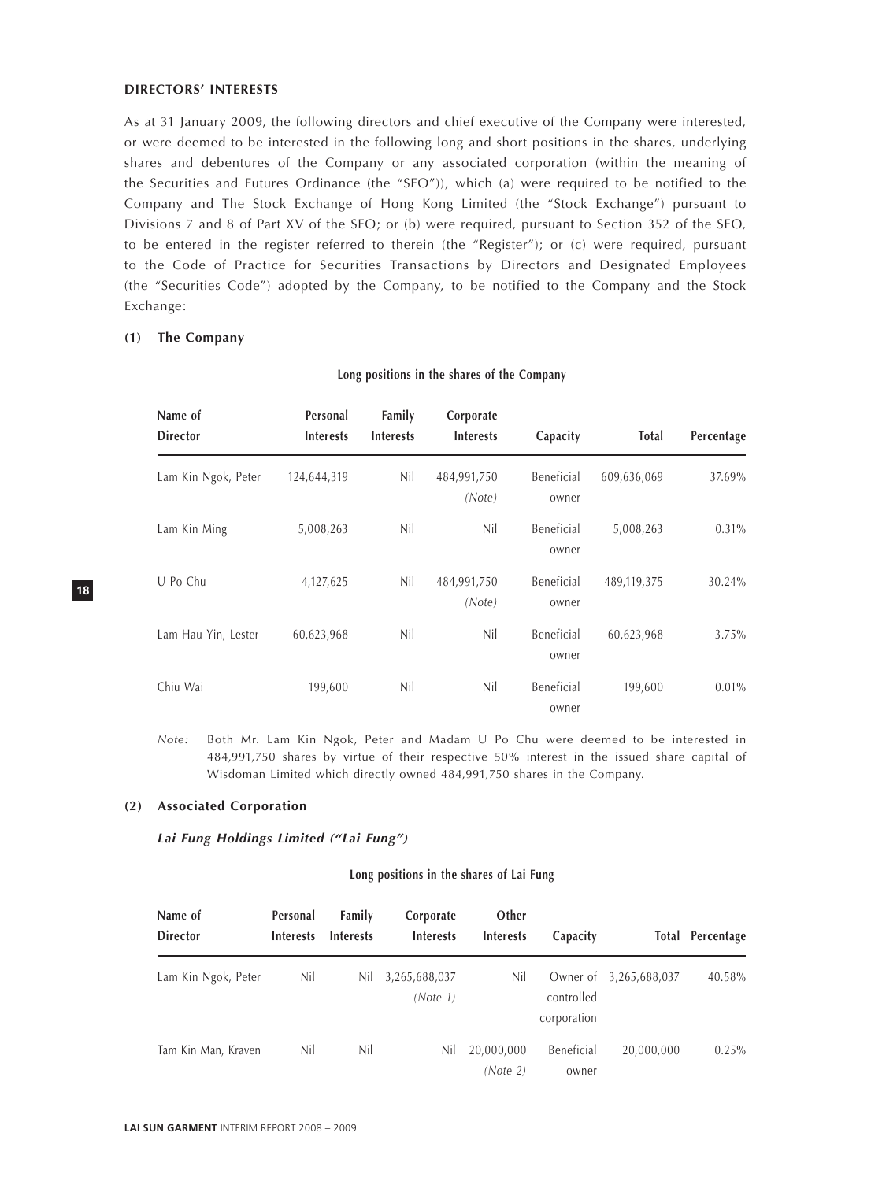#### **DIRECTORS' INTERESTS**

As at 31 January 2009, the following directors and chief executive of the Company were interested, or were deemed to be interested in the following long and short positions in the shares, underlying shares and debentures of the Company or any associated corporation (within the meaning of the Securities and Futures Ordinance (the "SFO")), which (a) were required to be notified to the Company and The Stock Exchange of Hong Kong Limited (the "Stock Exchange") pursuant to Divisions 7 and 8 of Part XV of the SFO; or (b) were required, pursuant to Section 352 of the SFO, to be entered in the register referred to therein (the "Register"); or (c) were required, pursuant to the Code of Practice for Securities Transactions by Directors and Designated Employees (the "Securities Code") adopted by the Company, to be notified to the Company and the Stock Exchange:

### **(1) The Company**

### **Long positions in the shares of the Company**

| Name of<br><b>Director</b> | Personal<br><b>Interests</b> | Family<br><b>Interests</b> | Corporate<br><b>Interests</b> | Capacity            | <b>Total</b> | Percentage |
|----------------------------|------------------------------|----------------------------|-------------------------------|---------------------|--------------|------------|
| Lam Kin Ngok, Peter        | 124,644,319                  | Nil                        | 484,991,750<br>(Note)         | Beneficial<br>owner | 609,636,069  | 37.69%     |
| Lam Kin Ming               | 5,008,263                    | Nil                        | Nil                           | Beneficial<br>owner | 5,008,263    | $0.31\%$   |
| U Po Chu                   | 4,127,625                    | Nil                        | 484,991,750<br>(Note)         | Beneficial<br>owner | 489,119,375  | 30.24%     |
| Lam Hau Yin, Lester        | 60,623,968                   | Nil                        | Nil                           | Beneficial<br>owner | 60,623,968   | 3.75%      |
| Chiu Wai                   | 199,600                      | Nil                        | Nil                           | Beneficial<br>owner | 199,600      | $0.01\%$   |

*Note:* Both Mr. Lam Kin Ngok, Peter and Madam U Po Chu were deemed to be interested in 484,991,750 shares by virtue of their respective 50% interest in the issued share capital of Wisdoman Limited which directly owned 484,991,750 shares in the Company.

#### **(2) Associated Corporation**

#### *Lai Fung Holdings Limited ("Lai Fung")*

#### **Long positions in the shares of Lai Fung**

| Name of<br><b>Director</b> | Personal<br><b>Interests</b> | Family<br><b>Interests</b> | Corporate<br><b>Interests</b> | Other<br><b>Interests</b> | Capacity                              |               | Total Percentage |
|----------------------------|------------------------------|----------------------------|-------------------------------|---------------------------|---------------------------------------|---------------|------------------|
| Lam Kin Ngok, Peter        | Nil                          | Nil                        | 3,265,688,037<br>(Note 1)     | Nil                       | Owner of<br>controlled<br>corporation | 3,265,688,037 | 40.58%           |
| Tam Kin Man, Kraven        | Nil                          | Nil                        | Nil                           | 20,000,000<br>(Note 2)    | Beneficial<br>owner                   | 20,000,000    | $0.25\%$         |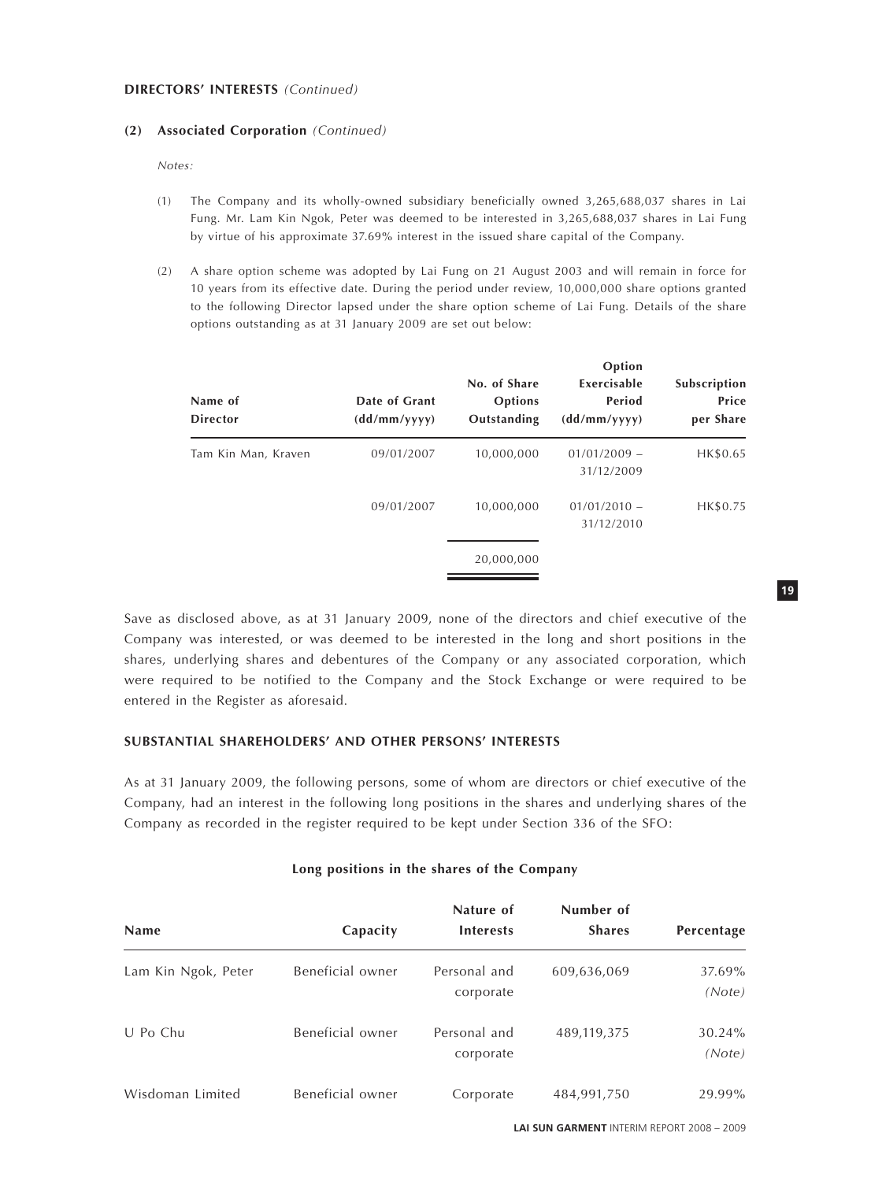### **DIRECTORS' INTERESTS** *(Continued)*

### **(2) Associated Corporation** *(Continued)*

*Notes:*

- (1) The Company and its wholly-owned subsidiary beneficially owned 3,265,688,037 shares in Lai Fung. Mr. Lam Kin Ngok, Peter was deemed to be interested in 3,265,688,037 shares in Lai Fung by virtue of his approximate 37.69% interest in the issued share capital of the Company.
- (2) A share option scheme was adopted by Lai Fung on 21 August 2003 and will remain in force for 10 years from its effective date. During the period under review, 10,000,000 share options granted to the following Director lapsed under the share option scheme of Lai Fung. Details of the share options outstanding as at 31 January 2009 are set out below:

| Name of<br><b>Director</b> | Date of Grant<br>(dd/mm/yyyy) | No. of Share<br>Options<br>Outstanding | Option<br>Exercisable<br>Period<br>(dd/mm/yyyy) | Subscription<br>Price<br>per Share |
|----------------------------|-------------------------------|----------------------------------------|-------------------------------------------------|------------------------------------|
| Tam Kin Man, Kraven        | 09/01/2007                    | 10,000,000                             | $01/01/2009$ -<br>31/12/2009                    | HK\$0.65                           |
|                            | 09/01/2007                    | 10,000,000                             | $01/01/2010 -$<br>31/12/2010                    | HK\$0.75                           |
|                            |                               | 20,000,000                             |                                                 |                                    |

Save as disclosed above, as at 31 January 2009, none of the directors and chief executive of the Company was interested, or was deemed to be interested in the long and short positions in the shares, underlying shares and debentures of the Company or any associated corporation, which were required to be notified to the Company and the Stock Exchange or were required to be entered in the Register as aforesaid.

## **SUBSTANTIAL SHAREHOLDERS' AND OTHER PERSONS' INTERESTS**

As at 31 January 2009, the following persons, some of whom are directors or chief executive of the Company, had an interest in the following long positions in the shares and underlying shares of the Company as recorded in the register required to be kept under Section 336 of the SFO:

|  |  |  |  |  |  |  | Long positions in the shares of the Company |  |
|--|--|--|--|--|--|--|---------------------------------------------|--|
|--|--|--|--|--|--|--|---------------------------------------------|--|

| <b>Name</b>         | Capacity         | Nature of<br><b>Interests</b> | Number of<br><b>Shares</b> | Percentage       |
|---------------------|------------------|-------------------------------|----------------------------|------------------|
| Lam Kin Ngok, Peter | Beneficial owner | Personal and<br>corporate     | 609,636,069                | 37.69%<br>(Note) |
| U Po Chu            | Beneficial owner | Personal and<br>corporate     | 489,119,375                | 30.24%<br>(Note) |
| Wisdoman Limited    | Beneficial owner | Corporate                     | 484,991,750                | 29.99%           |

**19**